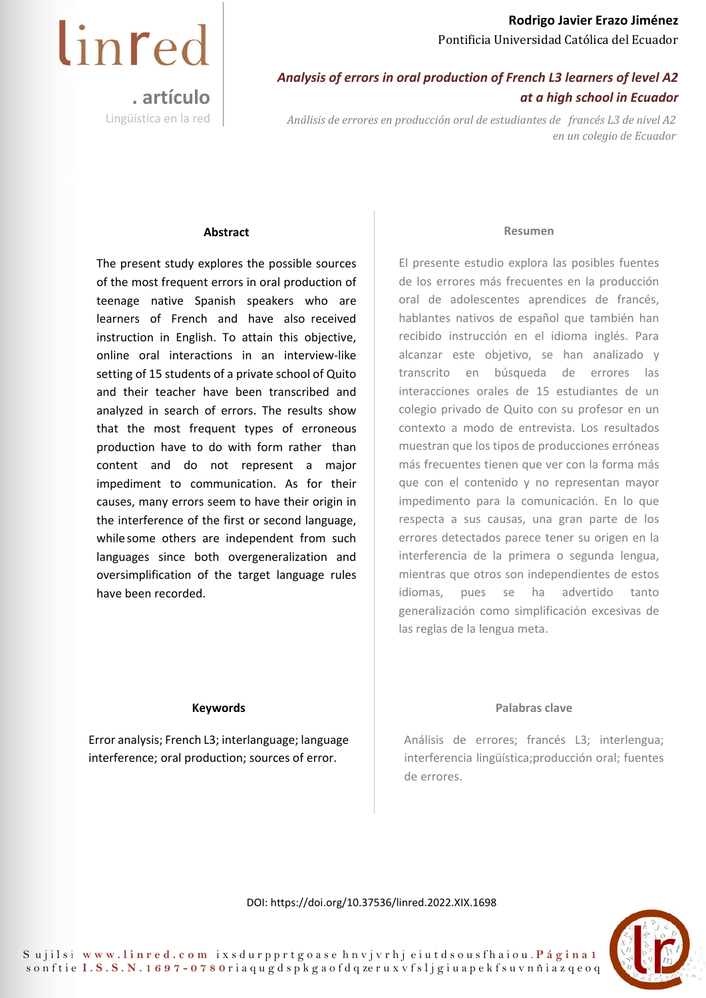## *Analysis of errors in oral production of French L3 learners of level A2 at a high school in Ecuador*

*Análisis de errores en producción oral de estudiantes de francés L3 de nivel A2 en un colegio de Ecuador* 

#### **Abstract**

**. artículo** 

Lingüística en la red

linred

The present study explores the possible sources of the most frequent errors in oral production of teenage native Spanish speakers who are learners of French and have also received instruction in English. To attain this objective, online oral interactions in an interview-like setting of 15 students of a private school of Quito and their teacher have been transcribed and analyzed in search of errors. The results show that the most frequent types of erroneous production have to do with form rather than content and do not represent a major impediment to communication. As for their causes, many errors seem to have their origin in the interference of the first or second language, while some others are independent from such languages since both overgeneralization and oversimplification of the target language rules have been recorded.

#### **Resumen**

El presente estudio explora las posibles fuentes de los errores más frecuentes en la producción oral de adolescentes aprendices de francés, hablantes nativos de español que también han recibido instrucción en el idioma inglés. Para alcanzar este objetivo, se han analizado y transcrito en búsqueda de errores las interacciones orales de 15 estudiantes de un colegio privado de Quito con su profesor en un contexto a modo de entrevista. Los resultados muestran que los tipos de producciones erróneas más frecuentes tienen que ver con la forma más que con el contenido y no representan mayor impedimento para la comunicación. En lo que respecta a sus causas, una gran parte de los errores detectados parece tener su origen en la interferencia de la primera o segunda lengua, mientras que otros son independientes de estos idiomas, pues se ha advertido tanto generalización como simplificación excesivas de las reglas de la lengua meta.

#### **Keywords**

Error analysis; French L3; interlanguage; language interference; oral production; sources of error.

#### **Palabras clave**

Análisis de errores; francés L3; interlengua; interferencia lingüística; producción oral; fuentes de errores.

DOI: https://doi.org/10.37536/linred.2022.XIX.1698

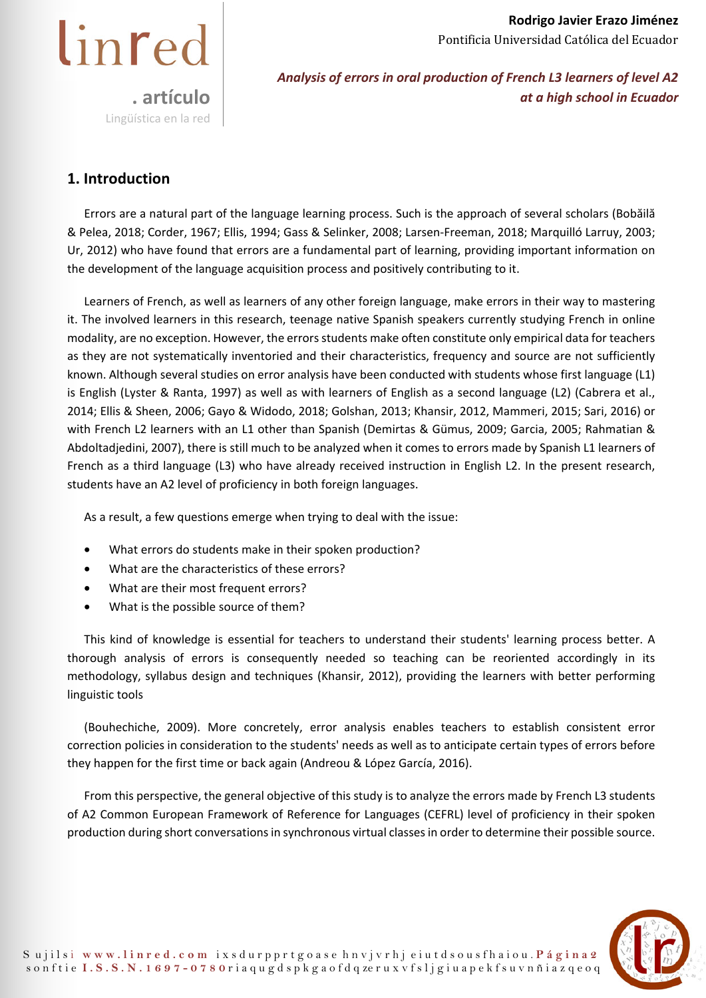

*Analysis of errors in oral production of French L3 learners of level A2 at a high school in Ecuador* 

## **1. Introduction**

Errors are a natural part of the language learning process. Such is the approach of several scholars (Bobăilă & Pelea, 2018; Corder, 1967; Ellis, 1994; Gass & Selinker, 2008; Larsen-Freeman, 2018; Marquilló Larruy, 2003; Ur, 2012) who have found that errors are a fundamental part of learning, providing important information on the development of the language acquisition process and positively contributing to it.

Learners of French, as well as learners of any other foreign language, make errors in their way to mastering it. The involved learners in this research, teenage native Spanish speakers currently studying French in online modality, are no exception. However, the errors students make often constitute only empirical data for teachers as they are not systematically inventoried and their characteristics, frequency and source are not sufficiently known. Although several studies on error analysis have been conducted with students whose first language (L1) is English (Lyster & Ranta, 1997) as well as with learners of English as a second language (L2) (Cabrera et al., 2014; Ellis & Sheen, 2006; Gayo & Widodo, 2018; Golshan, 2013; Khansir, 2012, Mammeri, 2015; Sari, 2016) or with French L2 learners with an L1 other than Spanish (Demirtas & Gümus, 2009; Garcia, 2005; Rahmatian & Abdoltadjedini, 2007), there is still much to be analyzed when it comes to errors made by Spanish L1 learners of French as a third language (L3) who have already received instruction in English L2. In the present research, students have an A2 level of proficiency in both foreign languages.

As a result, a few questions emerge when trying to deal with the issue:

- What errors do students make in their spoken production?
- What are the characteristics of these errors?
- What are their most frequent errors?
- What is the possible source of them?

This kind of knowledge is essential for teachers to understand their students' learning process better. A thorough analysis of errors is consequently needed so teaching can be reoriented accordingly in its methodology, syllabus design and techniques (Khansir, 2012), providing the learners with better performing linguistic tools

(Bouhechiche, 2009). More concretely, error analysis enables teachers to establish consistent error correction policies in consideration to the students' needs as well as to anticipate certain types of errors before they happen for the first time or back again (Andreou & López García, 2016).

From this perspective, the general objective of this study is to analyze the errors made by French L3 students of A2 Common European Framework of Reference for Languages (CEFRL) level of proficiency in their spoken production during short conversations in synchronous virtual classes in order to determine their possible source.

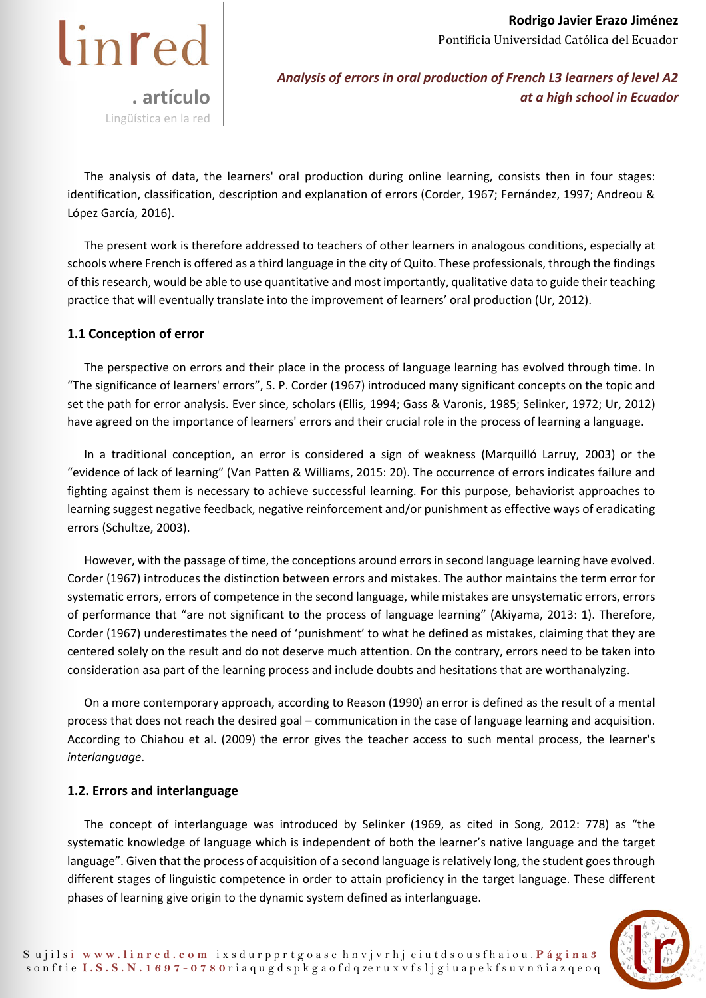

The analysis of data, the learners' oral production during online learning, consists then in four stages: identification, classification, description and explanation of errors (Corder, 1967; Fernández, 1997; Andreou & López García, 2016).

The present work is therefore addressed to teachers of other learners in analogous conditions, especially at schools where French is offered as a third language in the city of Quito. These professionals, through the findings of this research, would be able to use quantitative and most importantly, qualitative data to guide their teaching practice that will eventually translate into the improvement of learners' oral production (Ur, 2012).

## **1.1 Conception of error**

The perspective on errors and their place in the process of language learning has evolved through time. In "The significance of learners' errors", S. P. Corder (1967) introduced many significant concepts on the topic and set the path for error analysis. Ever since, scholars (Ellis, 1994; Gass & Varonis, 1985; Selinker, 1972; Ur, 2012) have agreed on the importance of learners' errors and their crucial role in the process of learning a language.

In a traditional conception, an error is considered a sign of weakness (Marquilló Larruy, 2003) or the "evidence of lack of learning" (Van Patten & Williams, 2015: 20). The occurrence of errors indicates failure and fighting against them is necessary to achieve successful learning. For this purpose, behaviorist approaches to learning suggest negative feedback, negative reinforcement and/or punishment as effective ways of eradicating errors (Schultze, 2003).

However, with the passage of time, the conceptions around errors in second language learning have evolved. Corder (1967) introduces the distinction between errors and mistakes. The author maintains the term error for systematic errors, errors of competence in the second language, while mistakes are unsystematic errors, errors of performance that "are not significant to the process of language learning" (Akiyama, 2013: 1). Therefore, Corder (1967) underestimates the need of 'punishment' to what he defined as mistakes, claiming that they are centered solely on the result and do not deserve much attention. On the contrary, errors need to be taken into consideration asa part of the learning process and include doubts and hesitations that are worthanalyzing.

On a more contemporary approach, according to Reason (1990) an error is defined as the result of a mental process that does not reach the desired goal – communication in the case of language learning and acquisition. According to Chiahou et al. (2009) the error gives the teacher access to such mental process, the learner's *interlanguage*.

## **1.2. Errors and interlanguage**

The concept of interlanguage was introduced by Selinker (1969, as cited in Song, 2012: 778) as "the systematic knowledge of language which is independent of both the learner's native language and the target language". Given that the process of acquisition of a second language is relatively long, the student goes through different stages of linguistic competence in order to attain proficiency in the target language. These different phases of learning give origin to the dynamic system defined as interlanguage.

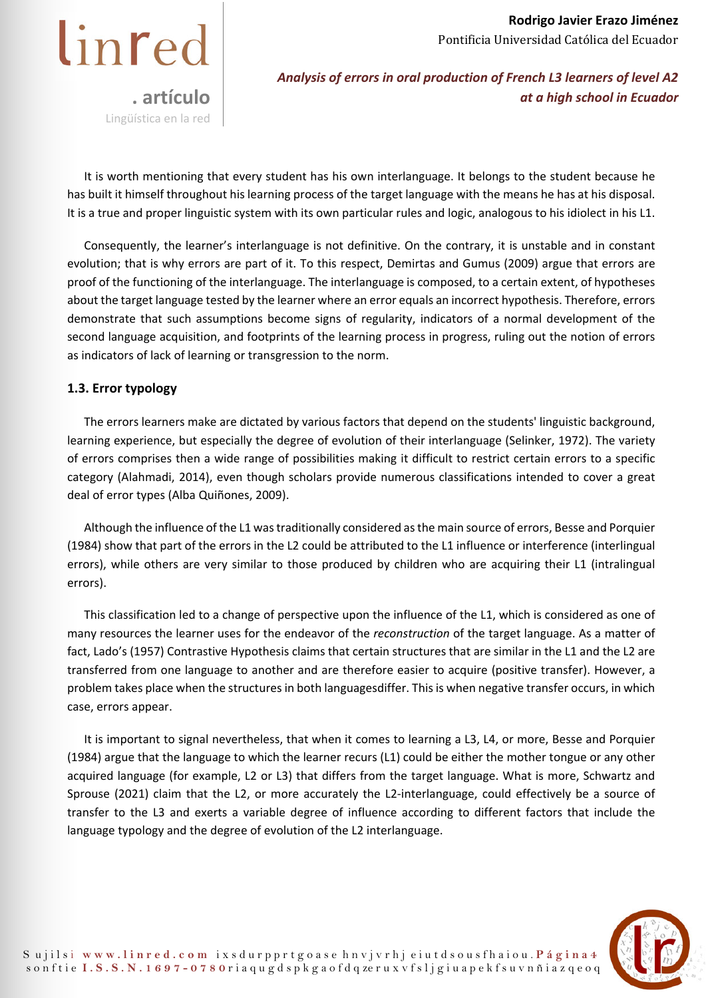

*Analysis of errors in oral production of French L3 learners of level A2 at a high school in Ecuador* 

It is worth mentioning that every student has his own interlanguage. It belongs to the student because he has built it himself throughout his learning process of the target language with the means he has at his disposal. It is a true and proper linguistic system with its own particular rules and logic, analogous to his idiolect in his L1.

Consequently, the learner's interlanguage is not definitive. On the contrary, it is unstable and in constant evolution; that is why errors are part of it. To this respect, Demirtas and Gumus (2009) argue that errors are proof of the functioning of the interlanguage. The interlanguage is composed, to a certain extent, of hypotheses about the target language tested by the learner where an error equals an incorrect hypothesis. Therefore, errors demonstrate that such assumptions become signs of regularity, indicators of a normal development of the second language acquisition, and footprints of the learning process in progress, ruling out the notion of errors as indicators of lack of learning or transgression to the norm.

## **1.3. Error typology**

The errors learners make are dictated by various factors that depend on the students' linguistic background, learning experience, but especially the degree of evolution of their interlanguage (Selinker, 1972). The variety of errors comprises then a wide range of possibilities making it difficult to restrict certain errors to a specific category (Alahmadi, 2014), even though scholars provide numerous classifications intended to cover a great deal of error types (Alba Quiñones, 2009).

Although the influence of the L1 was traditionally considered as the main source of errors, Besse and Porquier (1984) show that part of the errors in the L2 could be attributed to the L1 influence or interference (interlingual errors), while others are very similar to those produced by children who are acquiring their L1 (intralingual errors).

This classification led to a change of perspective upon the influence of the L1, which is considered as one of many resources the learner uses for the endeavor of the *reconstruction* of the target language. As a matter of fact, Lado's (1957) Contrastive Hypothesis claims that certain structures that are similar in the L1 and the L2 are transferred from one language to another and are therefore easier to acquire (positive transfer). However, a problem takes place when the structures in both languagesdiffer. This is when negative transfer occurs, in which case, errors appear.

It is important to signal nevertheless, that when it comes to learning a L3, L4, or more, Besse and Porquier (1984) argue that the language to which the learner recurs (L1) could be either the mother tongue or any other acquired language (for example, L2 or L3) that differs from the target language. What is more, Schwartz and Sprouse (2021) claim that the L2, or more accurately the L2-interlanguage, could effectively be a source of transfer to the L3 and exerts a variable degree of influence according to different factors that include the language typology and the degree of evolution of the L2 interlanguage.

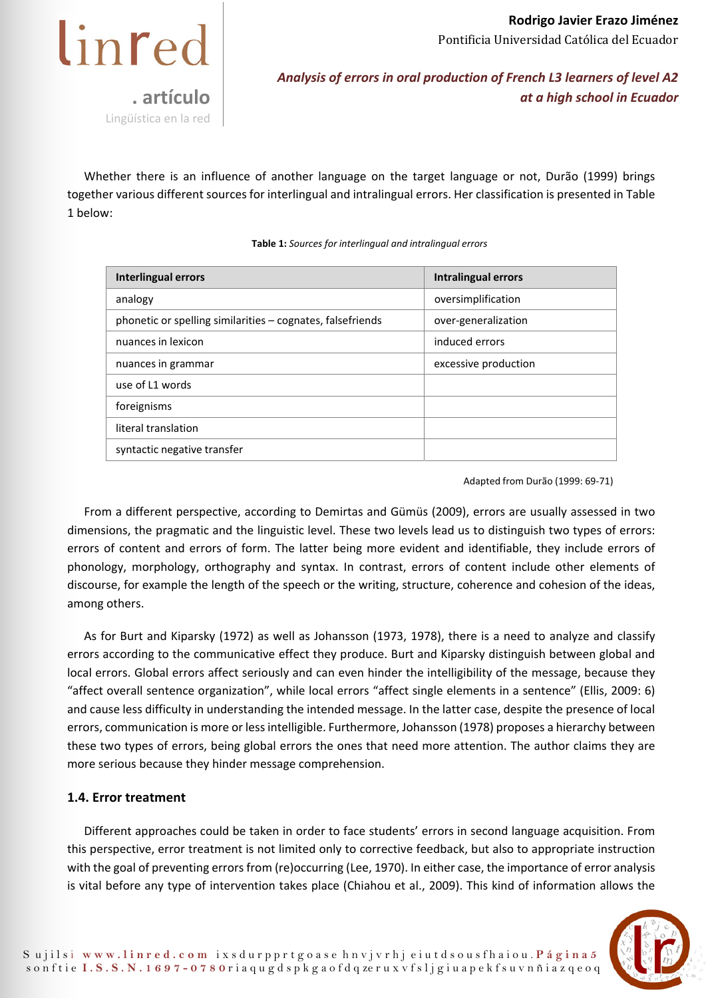

Whether there is an influence of another language on the target language or not, Durão (1999) brings together various different sources for interlingual and intralingual errors. Her classification is presented in Table 1 below:

**Table 1:** *Sources for interlingual and intralingual errors* 

| Interlingual errors                                        | Intralingual errors  |
|------------------------------------------------------------|----------------------|
| analogy                                                    | oversimplification   |
| phonetic or spelling similarities – cognates, falsefriends | over-generalization  |
| nuances in lexicon                                         | induced errors       |
| nuances in grammar                                         | excessive production |
| use of L1 words                                            |                      |
| foreignisms                                                |                      |
| literal translation                                        |                      |
| syntactic negative transfer                                |                      |

Adapted from Durão (1999: 69-71)

From a different perspective, according to Demirtas and Gümüs (2009), errors are usually assessed in two dimensions, the pragmatic and the linguistic level. These two levels lead us to distinguish two types of errors: errors of content and errors of form. The latter being more evident and identifiable, they include errors of phonology, morphology, orthography and syntax. In contrast, errors of content include other elements of discourse, for example the length of the speech or the writing, structure, coherence and cohesion of the ideas, among others.

As for Burt and Kiparsky (1972) as well as Johansson (1973, 1978), there is a need to analyze and classify errors according to the communicative effect they produce. Burt and Kiparsky distinguish between global and local errors. Global errors affect seriously and can even hinder the intelligibility of the message, because they "affect overall sentence organization", while local errors "affect single elements in a sentence" (Ellis, 2009: 6) and cause less difficulty in understanding the intended message. In the latter case, despite the presence of local errors, communication is more or less intelligible. Furthermore, Johansson (1978) proposes a hierarchy between these two types of errors, being global errors the ones that need more attention. The author claims they are more serious because they hinder message comprehension.

## **1.4. Error treatment**

Different approaches could be taken in order to face students' errors in second language acquisition. From this perspective, error treatment is not limited only to corrective feedback, but also to appropriate instruction with the goal of preventing errors from (re)occurring (Lee, 1970). In either case, the importance of error analysis is vital before any type of intervention takes place (Chiahou et al., 2009). This kind of information allows the

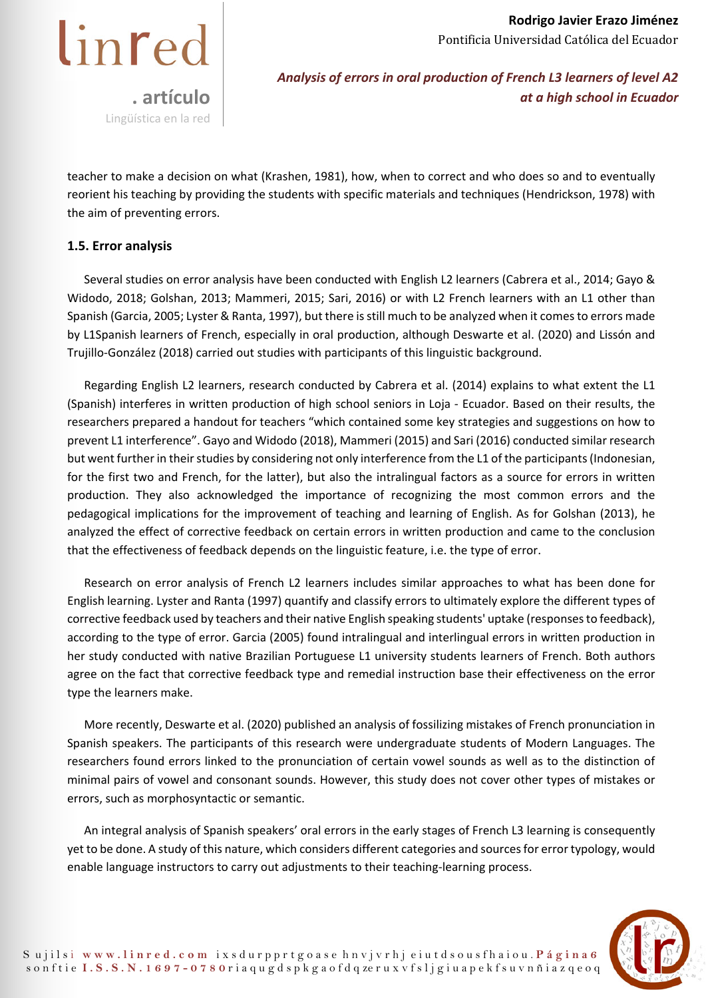

teacher to make a decision on what (Krashen, 1981), how, when to correct and who does so and to eventually reorient his teaching by providing the students with specific materials and techniques (Hendrickson, 1978) with the aim of preventing errors.

## **1.5. Error analysis**

Several studies on error analysis have been conducted with English L2 learners (Cabrera et al., 2014; Gayo & Widodo, 2018; Golshan, 2013; Mammeri, 2015; Sari, 2016) or with L2 French learners with an L1 other than Spanish (Garcia, 2005; Lyster & Ranta, 1997), but there is still much to be analyzed when it comes to errors made by L1Spanish learners of French, especially in oral production, although Deswarte et al. (2020) and Lissón and Trujillo-González (2018) carried out studies with participants of this linguistic background.

Regarding English L2 learners, research conducted by Cabrera et al. (2014) explains to what extent the L1 (Spanish) interferes in written production of high school seniors in Loja - Ecuador. Based on their results, the researchers prepared a handout for teachers "which contained some key strategies and suggestions on how to prevent L1 interference". Gayo and Widodo (2018), Mammeri (2015) and Sari (2016) conducted similar research but went further in their studies by considering not only interference from the L1 of the participants (Indonesian, for the first two and French, for the latter), but also the intralingual factors as a source for errors in written production. They also acknowledged the importance of recognizing the most common errors and the pedagogical implications for the improvement of teaching and learning of English. As for Golshan (2013), he analyzed the effect of corrective feedback on certain errors in written production and came to the conclusion that the effectiveness of feedback depends on the linguistic feature, i.e. the type of error.

Research on error analysis of French L2 learners includes similar approaches to what has been done for English learning. Lyster and Ranta (1997) quantify and classify errors to ultimately explore the different types of corrective feedback used by teachers and their native English speaking students' uptake (responses to feedback), according to the type of error. Garcia (2005) found intralingual and interlingual errors in written production in her study conducted with native Brazilian Portuguese L1 university students learners of French. Both authors agree on the fact that corrective feedback type and remedial instruction base their effectiveness on the error type the learners make.

More recently, Deswarte et al. (2020) published an analysis of fossilizing mistakes of French pronunciation in Spanish speakers. The participants of this research were undergraduate students of Modern Languages. The researchers found errors linked to the pronunciation of certain vowel sounds as well as to the distinction of minimal pairs of vowel and consonant sounds. However, this study does not cover other types of mistakes or errors, such as morphosyntactic or semantic.

An integral analysis of Spanish speakers' oral errors in the early stages of French L3 learning is consequently yet to be done. A study of this nature, which considers different categories and sources for error typology, would enable language instructors to carry out adjustments to their teaching-learning process.

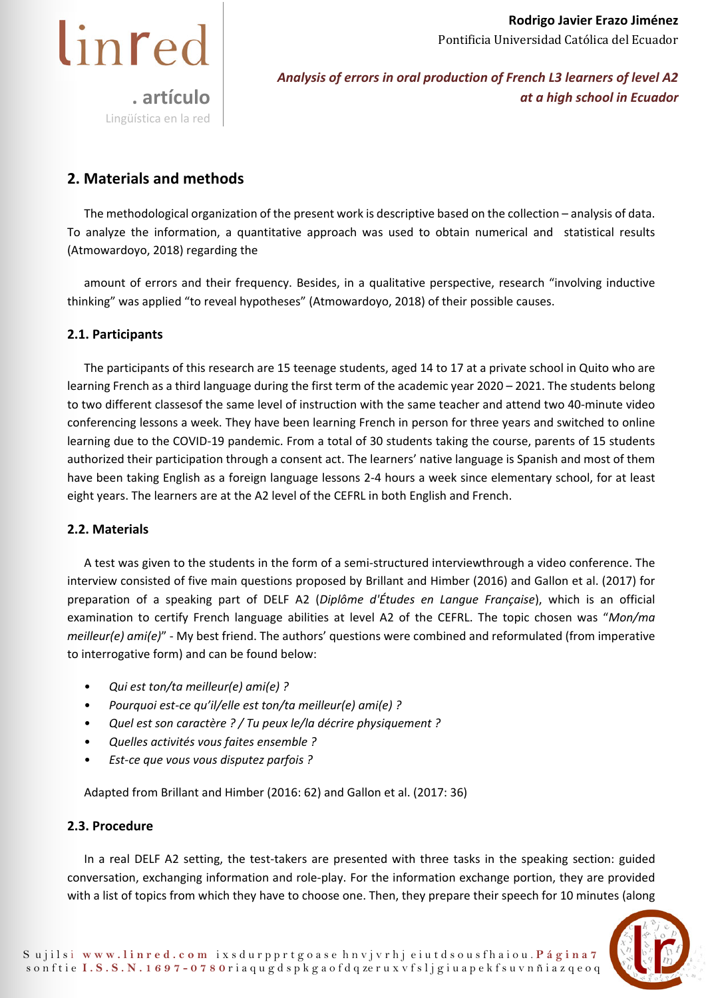

*Analysis of errors in oral production of French L3 learners of level A2 at a high school in Ecuador* 

## **2. Materials and methods**

The methodological organization of the present work is descriptive based on the collection – analysis of data. To analyze the information, a quantitative approach was used to obtain numerical and statistical results (Atmowardoyo, 2018) regarding the

amount of errors and their frequency. Besides, in a qualitative perspective, research "involving inductive thinking" was applied "to reveal hypotheses" (Atmowardoyo, 2018) of their possible causes.

## **2.1. Participants**

The participants of this research are 15 teenage students, aged 14 to 17 at a private school in Quito who are learning French as a third language during the first term of the academic year 2020 – 2021. The students belong to two different classesof the same level of instruction with the same teacher and attend two 40-minute video conferencing lessons a week. They have been learning French in person for three years and switched to online learning due to the COVID-19 pandemic. From a total of 30 students taking the course, parents of 15 students authorized their participation through a consent act. The learners' native language is Spanish and most of them have been taking English as a foreign language lessons 2-4 hours a week since elementary school, for at least eight years. The learners are at the A2 level of the CEFRL in both English and French.

## **2.2. Materials**

A test was given to the students in the form of a semi-structured interviewthrough a video conference. The interview consisted of five main questions proposed by Brillant and Himber (2016) and Gallon et al. (2017) for preparation of a speaking part of DELF A2 (*Diplôme d'Études en Langue Française*), which is an official examination to certify French language abilities at level A2 of the CEFRL. The topic chosen was "*Mon/ma meilleur(e) ami(e)*" - My best friend. The authors' questions were combined and reformulated (from imperative to interrogative form) and can be found below:

- *Qui est ton/ta meilleur(e) ami(e) ?*
- *Pourquoi est-ce qu'il/elle est ton/ta meilleur(e) ami(e) ?*
- *Quel est son caractère ? / Tu peux le/la décrire physiquement ?*
- *Quelles activités vous faites ensemble ?*
- *Est-ce que vous vous disputez parfois ?*

Adapted from Brillant and Himber (2016: 62) and Gallon et al. (2017: 36)

## **2.3. Procedure**

In a real DELF A2 setting, the test-takers are presented with three tasks in the speaking section: guided conversation, exchanging information and role-play. For the information exchange portion, they are provided with a list of topics from which they have to choose one. Then, they prepare their speech for 10 minutes (along

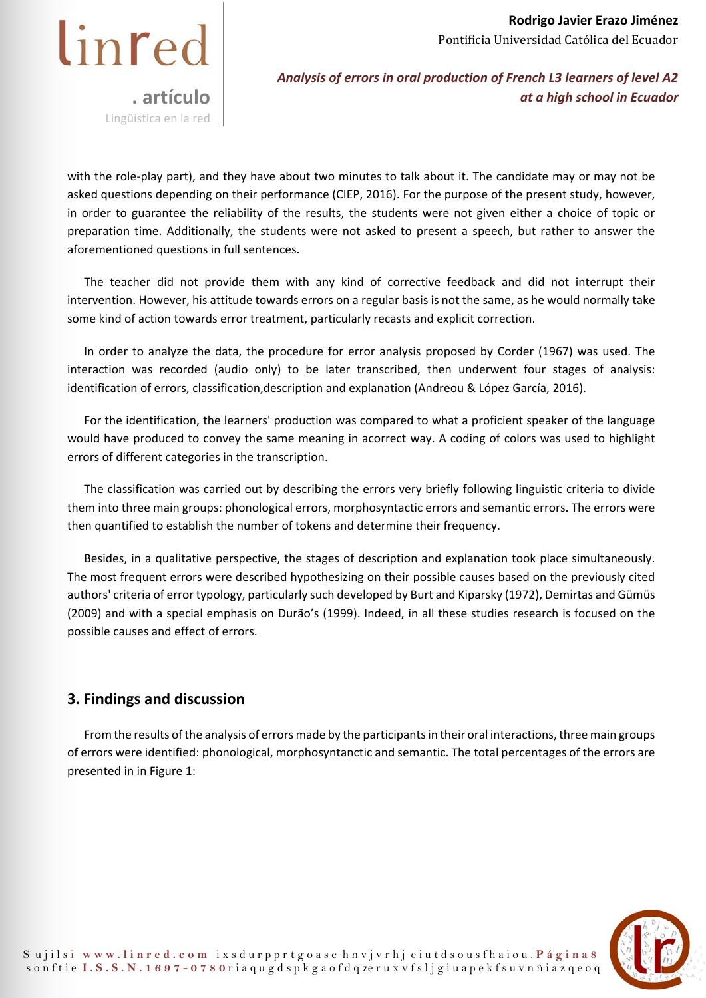

with the role-play part), and they have about two minutes to talk about it. The candidate may or may not be asked questions depending on their performance (CIEP, 2016). For the purpose of the present study, however, in order to guarantee the reliability of the results, the students were not given either a choice of topic or preparation time. Additionally, the students were not asked to present a speech, but rather to answer the aforementioned questions in full sentences.

The teacher did not provide them with any kind of corrective feedback and did not interrupt their intervention. However, his attitude towards errors on a regular basis is not the same, as he would normally take some kind of action towards error treatment, particularly recasts and explicit correction.

In order to analyze the data, the procedure for error analysis proposed by Corder (1967) was used. The interaction was recorded (audio only) to be later transcribed, then underwent four stages of analysis: identification of errors, classification,description and explanation (Andreou & López García, 2016).

For the identification, the learners' production was compared to what a proficient speaker of the language would have produced to convey the same meaning in acorrect way. A coding of colors was used to highlight errors of different categories in the transcription.

The classification was carried out by describing the errors very briefly following linguistic criteria to divide them into three main groups: phonological errors, morphosyntactic errors and semantic errors. The errors were then quantified to establish the number of tokens and determine their frequency.

Besides, in a qualitative perspective, the stages of description and explanation took place simultaneously. The most frequent errors were described hypothesizing on their possible causes based on the previously cited authors' criteria of error typology, particularly such developed by Burt and Kiparsky (1972), Demirtas and Gümüs (2009) and with a special emphasis on Durão's (1999). Indeed, in all these studies research is focused on the possible causes and effect of errors.

## **3. Findings and discussion**

From the results of the analysis of errors made by the participants in their oral interactions, three main groups of errors were identified: phonological, morphosyntanctic and semantic. The total percentages of the errors are presented in in Figure 1:

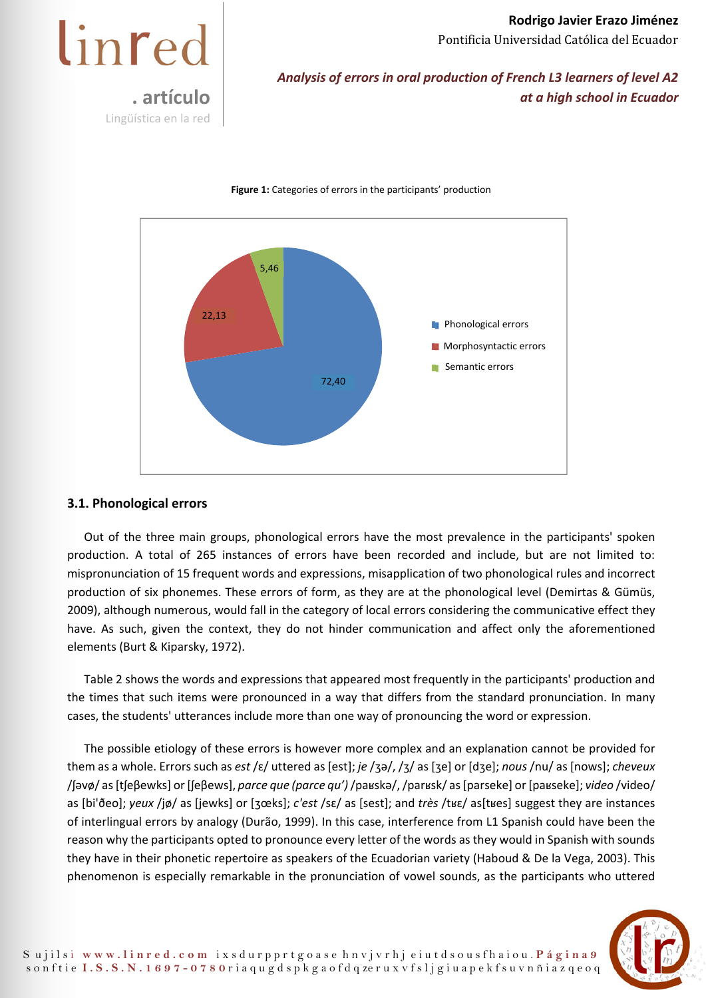linred **. artículo**  Lingüística en la red

*Analysis of errors in oral production of French L3 learners of level A2 at a high school in Ecuador* 



#### **Figure 1:** Categories of errors in the participants' production

#### **3.1. Phonological errors**

Out of the three main groups, phonological errors have the most prevalence in the participants' spoken production. A total of 265 instances of errors have been recorded and include, but are not limited to: mispronunciation of 15 frequent words and expressions, misapplication of two phonological rules and incorrect production of six phonemes. These errors of form, as they are at the phonological level (Demirtas & Gümüs, 2009), although numerous, would fall in the category of local errors considering the communicative effect they have. As such, given the context, they do not hinder communication and affect only the aforementioned elements (Burt & Kiparsky, 1972).

Table 2 shows the words and expressions that appeared most frequently in the participants' production and the times that such items were pronounced in a way that differs from the standard pronunciation. In many cases, the students' utterances include more than one way of pronouncing the word or expression.

The possible etiology of these errors is however more complex and an explanation cannot be provided for them as a whole. Errors such as *est* /ɛ/ uttered as [est]; *je* /ʒə/, /ʒ/ as [ʒe] or [dʒe]; *nous* /nu/ as [nows]; *cheveux*  /ʃəvø/ as [tʃeβewks] or [ʃeβews], *parce que (parce qu')* /paʁskə/, /parʁsk/ as [parseke] or [paʁseke]; *video* /video/ as [bi'ðeo]; *yeux* /jø/ as [jewks] or [ʒœks]; *c'est* /sɛ/ as [sest]; and *très* /tʁɛ/ as[tʁes] suggest they are instances of interlingual errors by analogy (Durão, 1999). In this case, interference from L1 Spanish could have been the reason why the participants opted to pronounce every letter of the words as they would in Spanish with sounds they have in their phonetic repertoire as speakers of the Ecuadorian variety (Haboud & De la Vega, 2003). This phenomenon is especially remarkable in the pronunciation of vowel sounds, as the participants who uttered

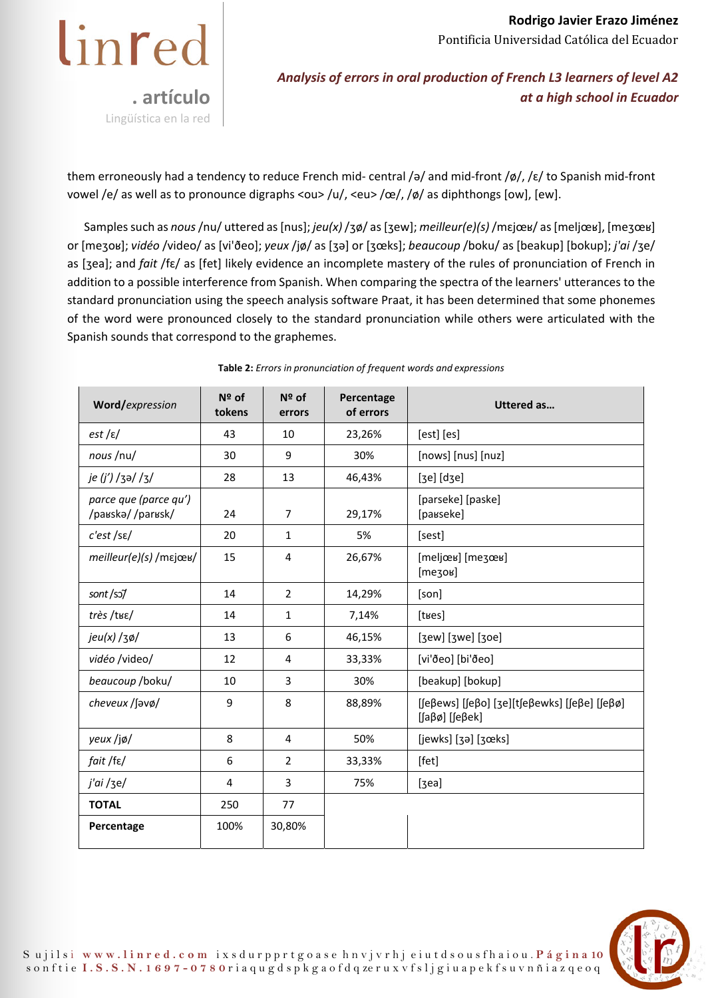

them erroneously had a tendency to reduce French mid- central /ə/ and mid-front /ø/, /ɛ/ to Spanish mid-front vowel /e/ as well as to pronounce digraphs <ou> /u/, <eu> /œ/, /ø/ as diphthongs [ow], [ew].

Samples such as *nous* /nu/ uttered as [nus]; *jeu(x)* /ʒø/ as [ʒew]; *meilleur(e)(s)* /mɛjœʁ/ as [meljœʁ], [meʒœʁ] or [meʒoʁ]; *vidéo* /video/ as [vi'ðeo]; *yeux* /jø/ as [ʒə] or [ʒœks]; *beaucoup* /boku/ as [beakup] [bokup]; *j'ai* /ʒe/ as [ʒea]; and *fait* /fɛ/ as [fet] likely evidence an incomplete mastery of the rules of pronunciation of French in addition to a possible interference from Spanish. When comparing the spectra of the learners' utterances to the standard pronunciation using the speech analysis software Praat, it has been determined that some phonemes of the word were pronounced closely to the standard pronunciation while others were articulated with the Spanish sounds that correspond to the graphemes.

| Word/expression                           | Nº of<br>tokens | $N2$ of<br>errors | Percentage<br>of errors | <b>Uttered as</b>                                                                     |
|-------------------------------------------|-----------------|-------------------|-------------------------|---------------------------------------------------------------------------------------|
| $est$ / $\varepsilon$ /                   | 43              | 10                | 23,26%                  | [est] [es]                                                                            |
| nous /nu/                                 | 30              | 9                 | 30%                     | [nows] [nus] [nuz]                                                                    |
| je (j') /ʒə/ /ʒ/                          | 28              | 13                | 46,43%                  | $[3e]$ $[d3e]$                                                                        |
| parce que (parce qu')<br>/paʁskə//parʁsk/ | 24              | $\overline{7}$    | 29,17%                  | [parseke] [paske]<br>[paʁseke]                                                        |
| c'est / se/                               | 20              | $\mathbf{1}$      | 5%                      | [sest]                                                                                |
| meilleur(e)(s) / mεjœʁ/                   | 15              | 4                 | 26,67%                  | [meljœʁ] [meʒœʁ]<br>$[$ mezoʁ] $]$                                                    |
| sont/so/                                  | 14              | $\overline{2}$    | 14,29%                  | [son]                                                                                 |
| très /tʁɛ/                                | 14              | $\mathbf{1}$      | 7,14%                   | [tʁes]                                                                                |
| $jeu(x)/3\phi/$                           | 13              | 6                 | 46,15%                  | [3ew] [3we] [30e]                                                                     |
| vidéo /video/                             | 12              | 4                 | 33,33%                  | [vi'ðeo] [bi'ðeo]                                                                     |
| beaucoup /boku/                           | 10              | 3                 | 30%                     | [beakup] [bokup]                                                                      |
| cheveux / Javø/                           | 9               | 8                 | 88,89%                  | [ $[efe$ ] [ $efo]$ [ $3e$ ][ $t$ $fe$ βewks] [ $fe$ βe] [ $fe$ βø]<br>[ʃaβø] [ʃeβek] |
| yeux /jø/                                 | 8               | 4                 | 50%                     | $[jewks]$ $[3a]$ $[3eks]$                                                             |
| fait /fε/                                 | 6               | $\overline{2}$    | 33,33%                  | [fet]                                                                                 |
| j'ai /ʒe/                                 | 4               | 3                 | 75%                     | [3ea]                                                                                 |
| <b>TOTAL</b>                              | 250             | 77                |                         |                                                                                       |
| Percentage                                | 100%            | 30,80%            |                         |                                                                                       |

**Table 2:** *Errors in pronunciation of frequent words and expressions* 

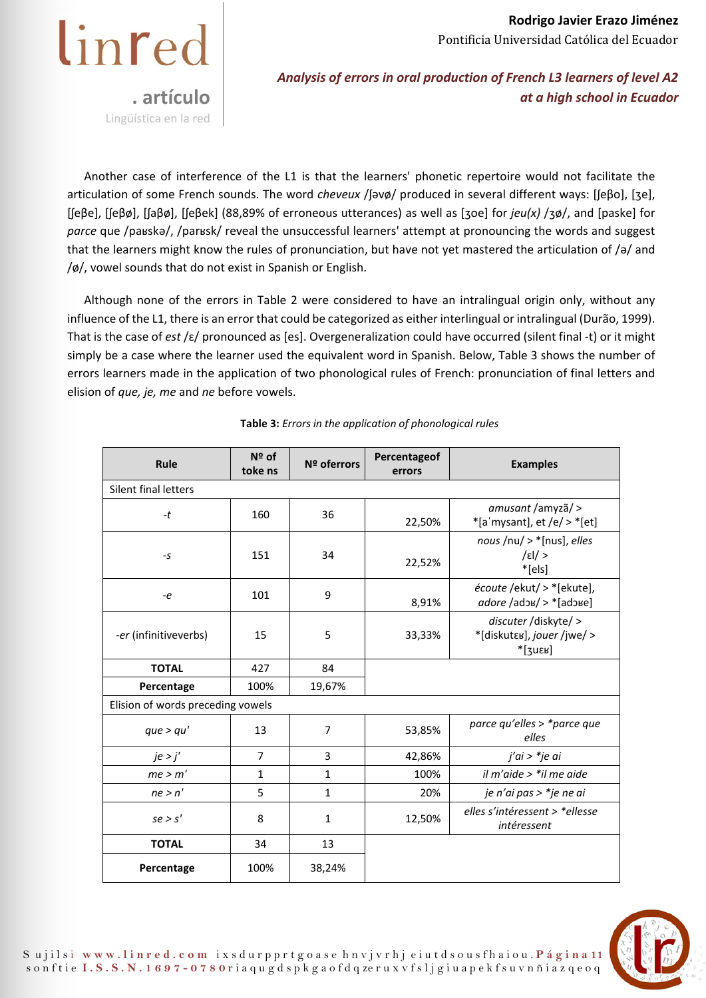

*Analysis of errors in oral production of French L3 learners of level A2 at a high school in Ecuador* 

Another case of interference of the L1 is that the learners' phonetic repertoire would not facilitate the articulation of some French sounds. The word *cheveux* /ʃəvø/ produced in several different ways: [ʃeβo], [ʒe], [ʃeβe], [ʃeβø], [ʃaβø], [ʃeβek] (88,89% of erroneous utterances) as well as [ʒoe] for *jeu(x)* /ʒø/, and [paske] for *parce* que /paʁskə/, /parʁsk/ reveal the unsuccessful learners' attempt at pronouncing the words and suggest that the learners might know the rules of pronunciation, but have not yet mastered the articulation of /ə/ and /ø/, vowel sounds that do not exist in Spanish or English.

Although none of the errors in Table 2 were considered to have an intralingual origin only, without any influence of the L1, there is an error that could be categorized as either interlingual or intralingual (Durão, 1999). That is the case of *est* /ɛ/ pronounced as [es]. Overgeneralization could have occurred (silent final -t) or it might simply be a case where the learner used the equivalent word in Spanish. Below, Table 3 shows the number of errors learners made in the application of two phonological rules of French: pronunciation of final letters and elision of *que, je, me* and *ne* before vowels.

| Rule                              | Nº of<br>toke ns | Nº oferrors    | Percentageof<br>errors | <b>Examples</b>                                                  |  |  |
|-----------------------------------|------------------|----------------|------------------------|------------------------------------------------------------------|--|--|
| Silent final letters              |                  |                |                        |                                                                  |  |  |
| $-t$                              | 160              | 36             | 22,50%                 | amusant/amyzã/ ><br>$*[a'mysant], et /e/ >*[et]$                 |  |  |
| $-S$                              | 151              | 34             | 22,52%                 | nous /nu/ $>$ *[nus], elles<br> s <br>$*$ [els]                  |  |  |
| -e                                | 101              | 9              | 8,91%                  | écoute /ekut/ > *[ekute],                                        |  |  |
| -er (infinitiveverbs)             | 15               | 5              | 33,33%                 | discuter /diskyte/ ><br>*[diskutɛʁ], jouer /jwe/ ><br>$*$ [zuɛʁ] |  |  |
| <b>TOTAL</b>                      | 427              | 84             |                        |                                                                  |  |  |
| Percentage                        | 100%             | 19,67%         |                        |                                                                  |  |  |
| Elision of words preceding vowels |                  |                |                        |                                                                  |  |  |
| que > qu'                         | 13               | $\overline{7}$ | 53,85%                 | parce qu'elles > *parce que<br>elles                             |  |  |
| je > j'                           | $\overline{7}$   | 3              | 42,86%                 | j'ai > *je ai                                                    |  |  |
| me > m'                           | $\mathbf{1}$     | 1              | 100%                   | il m'aide > $*$ il me aide                                       |  |  |
| ne > n'                           | 5                | $\mathbf{1}$   | 20%                    | je n'ai pas > *je ne ai                                          |  |  |
| se > s'                           | 8                | $\mathbf{1}$   | 12,50%                 | elles s'intéressent > *ellesse<br>intéressent                    |  |  |
| <b>TOTAL</b>                      | 34               | 13             |                        |                                                                  |  |  |
| Percentage                        | 100%             | 38,24%         |                        |                                                                  |  |  |

#### **Table 3:** *Errors in the application of phonological rules*

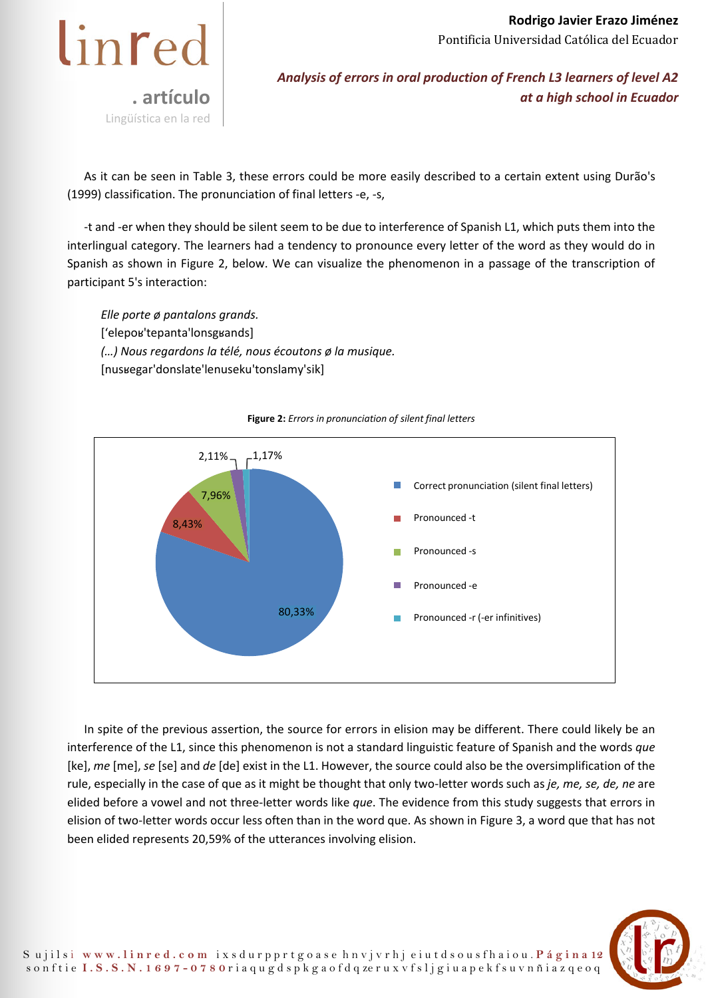

*Analysis of errors in oral production of French L3 learners of level A2 at a high school in Ecuador* 

As it can be seen in Table 3, these errors could be more easily described to a certain extent using Durão's (1999) classification. The pronunciation of final letters -e, -s,

-t and -er when they should be silent seem to be due to interference of Spanish L1, which puts them into the interlingual category. The learners had a tendency to pronounce every letter of the word as they would do in Spanish as shown in Figure 2, below. We can visualize the phenomenon in a passage of the transcription of participant 5's interaction:

*Elle porte ø pantalons grands.*  ['elepoʁ'tepanta'lonsgʁands] *(…) Nous regardons la télé, nous écoutons ø la musique.*  [nusʁegar'donslate'lenuseku'tonslamy'sik]



#### **Figure 2:** *Errors in pronunciation of silent final letters*

In spite of the previous assertion, the source for errors in elision may be different. There could likely be an interference of the L1, since this phenomenon is not a standard linguistic feature of Spanish and the words *que*  [ke], *me* [me], *se* [se] and *de* [de] exist in the L1. However, the source could also be the oversimplification of the rule, especially in the case of que as it might be thought that only two-letter words such as *je, me, se, de, ne* are elided before a vowel and not three-letter words like *que*. The evidence from this study suggests that errors in elision of two-letter words occur less often than in the word que. As shown in Figure 3, a word que that has not been elided represents 20,59% of the utterances involving elision.

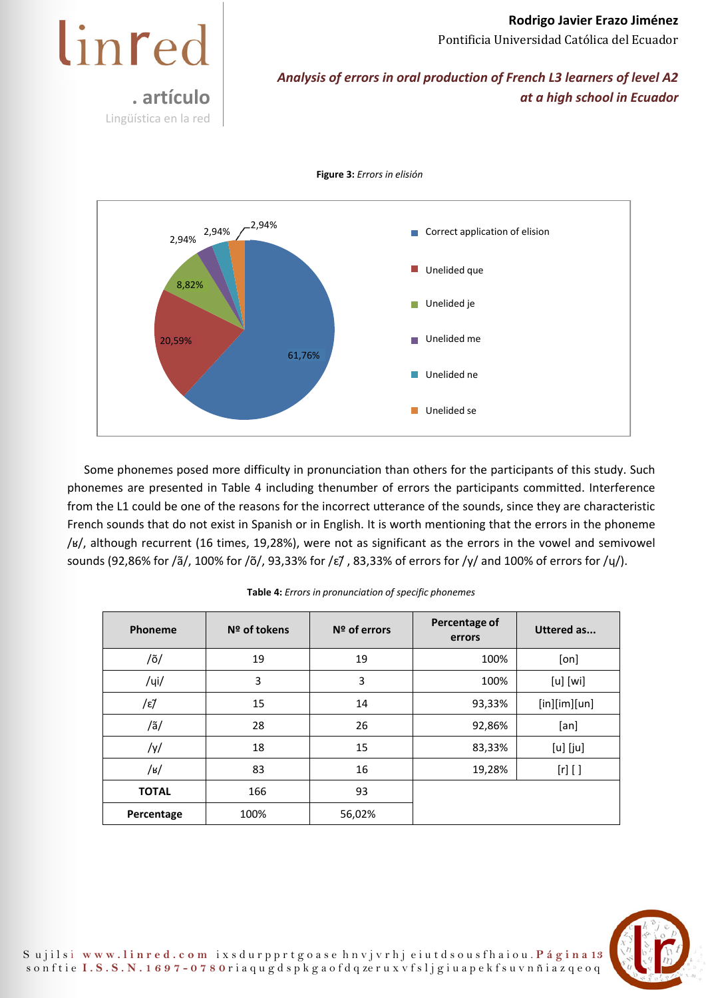*Analysis of errors in oral production of French L3 learners of level A2 at a high school in Ecuador* 

2,94% 2,94% 2,94% 8,82% 20,59% 61,76% **Correct application of elision Unelided** je Unelided me Unelided ne **Unelided se** Unelided que

**Figure 3:** *Errors in elisión* 

**. artículo** 

Lingüística en la red

linred

Some phonemes posed more difficulty in pronunciation than others for the participants of this study. Such phonemes are presented in Table 4 including thenumber of errors the participants committed. Interference from the L1 could be one of the reasons for the incorrect utterance of the sounds, since they are characteristic French sounds that do not exist in Spanish or in English. It is worth mentioning that the errors in the phoneme /ʁ/, although recurrent (16 times, 19,28%), were not as significant as the errors in the vowel and semivowel sounds (92,86% for /ã/, 100% for /õ/, 93,33% for /ɛ/̃ , 83,33% of errors for /y/ and 100% of errors for /ɥ/).

| Phoneme      | Nº of tokens | $N2$ of errors | Percentage of<br>errors | <b>Uttered as</b> |
|--------------|--------------|----------------|-------------------------|-------------------|
| /õ/          | 19           | 19             | 100%                    | [on]              |
| $/$ ui $/$   | 3            | 3              | 100%                    | $[u]$ $[wi]$      |
| /ε7          | 15           | 14             | 93,33%                  | [in][im][un]      |
| /ã/          | 28           | 26             | 92,86%                  | [an]              |
| /y/          | 18           | 15             | 83,33%                  | $[u]$ $[ju]$      |
| /в/          | 83           | 16             | 19,28%                  | $[r]$ $[$ ]       |
| <b>TOTAL</b> | 166          | 93             |                         |                   |
| Percentage   | 100%         | 56,02%         |                         |                   |

**Table 4:** *Errors in pronunciation of specific phonemes*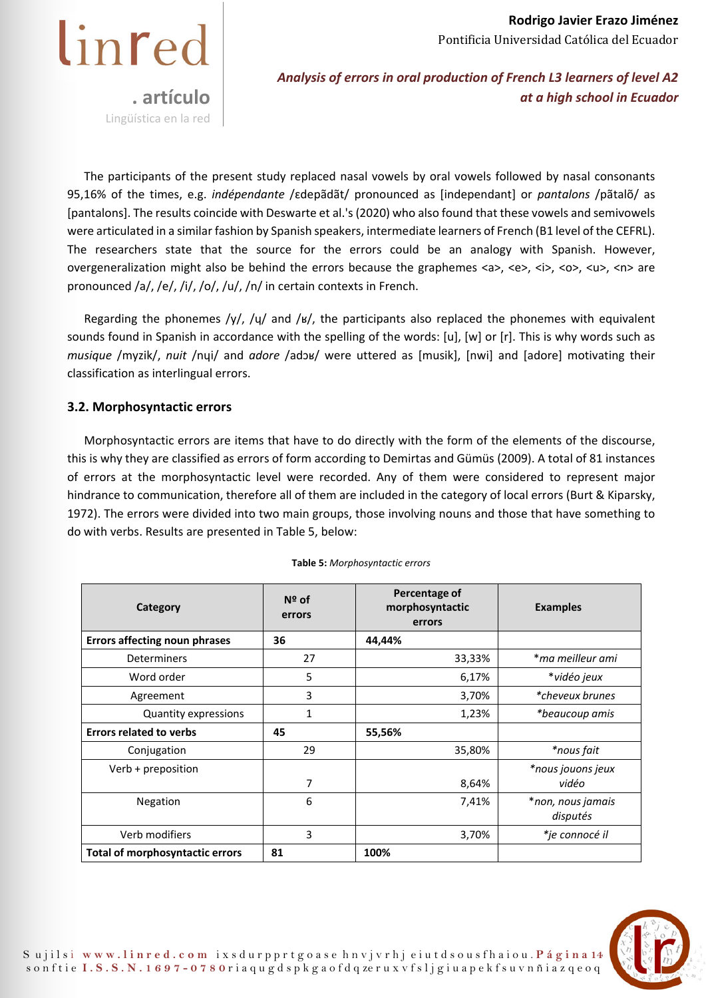

*Analysis of errors in oral production of French L3 learners of level A2 at a high school in Ecuador* 

The participants of the present study replaced nasal vowels by oral vowels followed by nasal consonants 95,16% of the times, e.g. *indépendante* /ɛdepãdãt/ pronounced as [independant] or *pantalons* /pãtalõ/ as [pantalons]. The results coincide with Deswarte et al.'s (2020) who also found that these vowels and semivowels were articulated in a similar fashion by Spanish speakers, intermediate learners of French (B1 level of the CEFRL). The researchers state that the source for the errors could be an analogy with Spanish. However, overgeneralization might also be behind the errors because the graphemes <a>, <e>, <i>, <o>, <u>, <n> are pronounced /a/, /e/, /i/, /o/, /u/, /n/ in certain contexts in French.

Regarding the phonemes /y/, / $\frac{1}{4}$  and /ʁ/, the participants also replaced the phonemes with equivalent sounds found in Spanish in accordance with the spelling of the words: [u], [w] or [r]. This is why words such as *musique* /myzik/, *nuit* /nɥi/ and *adore* /adɔʁ/ were uttered as [musik], [nwi] and [adore] motivating their classification as interlingual errors.

## **3.2. Morphosyntactic errors**

Morphosyntactic errors are items that have to do directly with the form of the elements of the discourse, this is why they are classified as errors of form according to Demirtas and Gümüs (2009). A total of 81 instances of errors at the morphosyntactic level were recorded. Any of them were considered to represent major hindrance to communication, therefore all of them are included in the category of local errors (Burt & Kiparsky, 1972). The errors were divided into two main groups, those involving nouns and those that have something to do with verbs. Results are presented in Table 5, below:

| Category                               | $N2$ of<br>errors | Percentage of<br>morphosyntactic<br>errors | <b>Examples</b>               |
|----------------------------------------|-------------------|--------------------------------------------|-------------------------------|
| <b>Errors affecting noun phrases</b>   | 36                | 44,44%                                     |                               |
| <b>Determiners</b>                     | 27                | 33,33%                                     | *ma meilleur ami              |
| Word order                             | 5                 | 6,17%                                      | *vidéo jeux                   |
| Agreement                              | 3                 | 3,70%                                      | <i>*cheveux brunes</i>        |
| <b>Quantity expressions</b>            | $\mathbf{1}$      | 1,23%                                      | *beaucoup amis                |
| <b>Errors related to verbs</b>         | 45                | 55,56%                                     |                               |
| Conjugation                            | 29                | 35,80%                                     | *nous fait                    |
| Verb + preposition                     | 7                 | 8,64%                                      | *nous jouons jeux<br>vidéo    |
| <b>Negation</b>                        | 6                 | 7,41%                                      | *non, nous jamais<br>disputés |
| Verb modifiers                         | 3                 | 3,70%                                      | *je connocé il                |
| <b>Total of morphosyntactic errors</b> | 81                | 100%                                       |                               |

**Table 5:** *Morphosyntactic errors* 

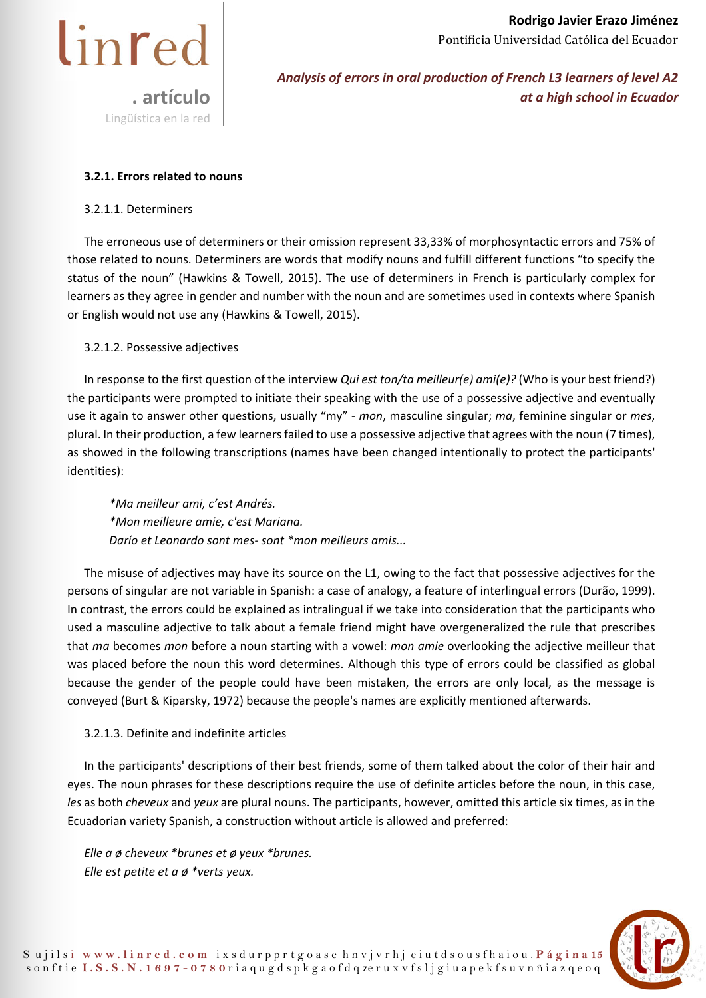



## **3.2.1. Errors related to nouns**

#### 3.2.1.1. Determiners

The erroneous use of determiners or their omission represent 33,33% of morphosyntactic errors and 75% of those related to nouns. Determiners are words that modify nouns and fulfill different functions "to specify the status of the noun" (Hawkins & Towell, 2015). The use of determiners in French is particularly complex for learners as they agree in gender and number with the noun and are sometimes used in contexts where Spanish or English would not use any (Hawkins & Towell, 2015).

### 3.2.1.2. Possessive adjectives

In response to the first question of the interview *Qui est ton/ta meilleur(e) ami(e)?* (Who is your best friend?) the participants were prompted to initiate their speaking with the use of a possessive adjective and eventually use it again to answer other questions, usually "my" - *mon*, masculine singular; *ma*, feminine singular or *mes*, plural. In their production, a few learners failed to use a possessive adjective that agrees with the noun (7 times), as showed in the following transcriptions (names have been changed intentionally to protect the participants' identities):

*\*Ma meilleur ami, c'est Andrés. \*Mon meilleure amie, c'est Mariana. Darío et Leonardo sont mes- sont \*mon meilleurs amis...* 

The misuse of adjectives may have its source on the L1, owing to the fact that possessive adjectives for the persons of singular are not variable in Spanish: a case of analogy, a feature of interlingual errors (Durão, 1999). In contrast, the errors could be explained as intralingual if we take into consideration that the participants who used a masculine adjective to talk about a female friend might have overgeneralized the rule that prescribes that *ma* becomes *mon* before a noun starting with a vowel: *mon amie* overlooking the adjective meilleur that was placed before the noun this word determines. Although this type of errors could be classified as global because the gender of the people could have been mistaken, the errors are only local, as the message is conveyed (Burt & Kiparsky, 1972) because the people's names are explicitly mentioned afterwards.

#### 3.2.1.3. Definite and indefinite articles

In the participants' descriptions of their best friends, some of them talked about the color of their hair and eyes. The noun phrases for these descriptions require the use of definite articles before the noun, in this case, *les* as both *cheveux* and *yeux* are plural nouns. The participants, however, omitted this article six times, as in the Ecuadorian variety Spanish, a construction without article is allowed and preferred:

*Elle a ø cheveux \*brunes et ø yeux \*brunes. Elle est petite et a ø \*verts yeux.* 

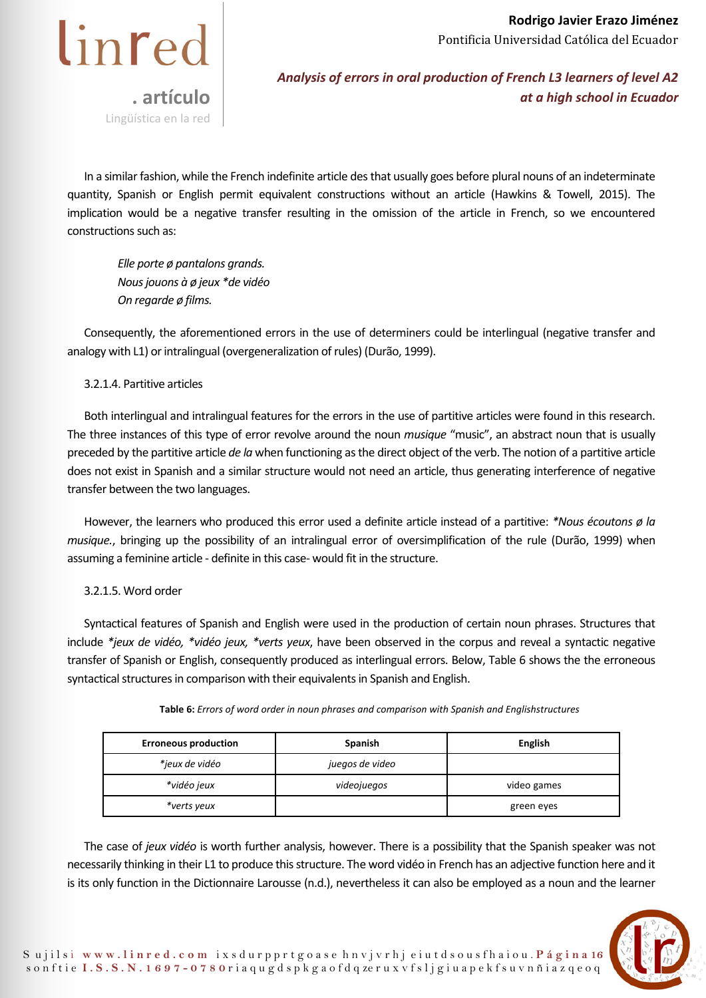

In a similar fashion, while the French indefinite article des that usually goes before plural nouns of an indeterminate quantity, Spanish or English permit equivalent constructions without an article (Hawkins & Towell, 2015). The implication would be a negative transfer resulting in the omission of the article in French, so we encountered constructions such as:

*Elle porte ø pantalons grands. Nous jouons à ø jeux \*de vidéo On regarde ø films.* 

Consequently, the aforementioned errors in the use of determiners could be interlingual (negative transfer and analogy with L1) or intralingual (overgeneralization of rules) (Durão, 1999).

### 3.2.1.4. Partitive articles

Both interlingual and intralingual features for the errors in the use of partitive articles were found in this research. The three instances of this type of error revolve around the noun *musique* "music", an abstract noun that is usually preceded by the partitive article *de la* when functioning as the direct object of the verb. The notion of a partitive article does not exist in Spanish and a similar structure would not need an article, thus generating interference of negative transfer between the two languages.

However, the learners who produced this error used a definite article instead of a partitive: *\*Nous écoutons ø la musique.*, bringing up the possibility of an intralingual error of oversimplification of the rule (Durão, 1999) when assuming a feminine article - definite in this case- would fit in the structure.

## 3.2.1.5. Word order

Syntactical features of Spanish and English were used in the production of certain noun phrases. Structures that include *\*jeux de vidéo, \*vidéo jeux, \*verts yeux*, have been observed in the corpus and reveal a syntactic negative transfer of Spanish or English, consequently produced as interlingual errors. Below, Table 6 shows the the erroneous syntactical structures in comparison with their equivalents in Spanish and English.

| <b>Erroneous production</b> | <b>Spanish</b>  | <b>English</b> |
|-----------------------------|-----------------|----------------|
| *jeux de vidéo              | juegos de video |                |
| *vidéo jeux                 | videojuegos     | video games    |
| *verts yeux                 |                 | green eyes     |

**Table 6:** *Errors of word order in noun phrases and comparison with Spanish and English structures* 

The case of *jeux vidéo* is worth further analysis, however. There is a possibility that the Spanish speaker was not necessarily thinking in their L1 to produce this structure. The word vidéo in French has an adjective function here and it is its only function in the Dictionnaire Larousse (n.d.), nevertheless it can also be employed as a noun and the learner

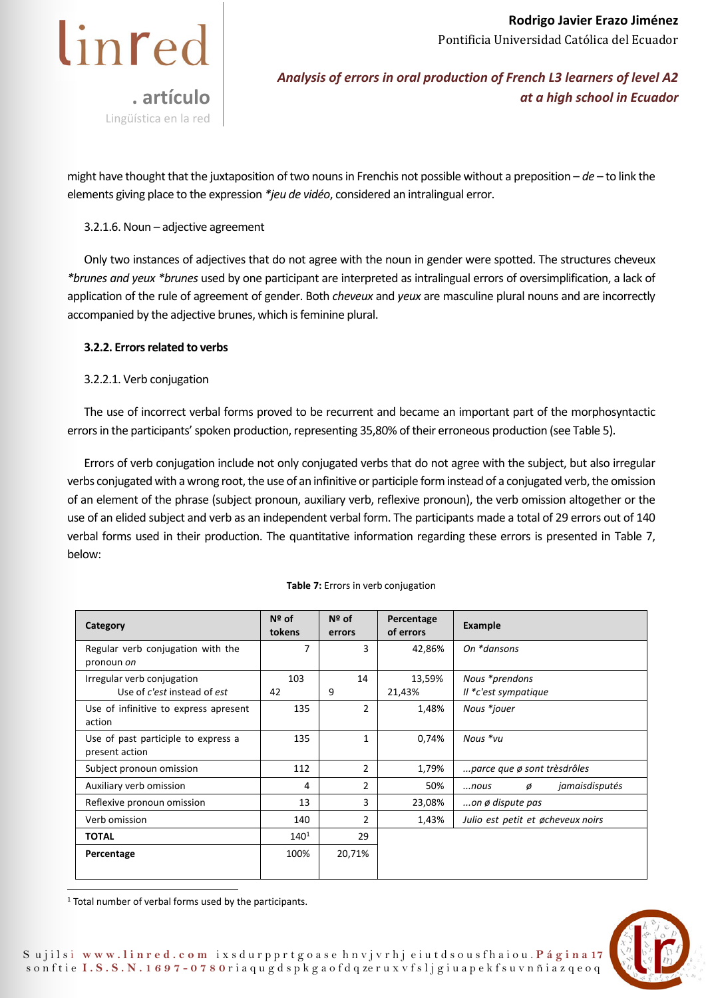

*Analysis of errors in oral production of French L3 learners of level A2 at a high school in Ecuador* 

might have thought that the juxtaposition of two nouns in Frenchis not possible without a preposition – *de* – to link the elements giving place to the expression *\*jeu de vidéo*, considered an intralingual error.

### 3.2.1.6. Noun – adjective agreement

Only two instances of adjectives that do not agree with the noun in gender were spotted. The structures cheveux *\*brunes and yeux \*brunes* used by one participant are interpreted as intralingual errors of oversimplification, a lack of application of the rule of agreement of gender. Both *cheveux* and *yeux* are masculine plural nouns and are incorrectly accompanied by the adjective brunes, which is feminine plural.

### **3.2.2. Errors related to verbs**

#### 3.2.2.1. Verb conjugation

The use of incorrect verbal forms proved to be recurrent and became an important part of the morphosyntactic errors in the participants' spoken production, representing 35,80% of their erroneous production (see Table 5).

Errors of verb conjugation include not only conjugated verbs that do not agree with the subject, but also irregular verbs conjugated with a wrong root, the use of an infinitive or participle form instead of a conjugated verb, the omission of an element of the phrase (subject pronoun, auxiliary verb, reflexive pronoun), the verb omission altogether or the use of an elided subject and verb as an independent verbal form. The participants made a total of 29 errors out of 140 verbal forms used in their production. The quantitative information regarding these errors is presented in Table 7, below:

| Category                                                  | $N2$ of<br>tokens | $No$ of<br>errors | Percentage<br>of errors | <b>Example</b>                         |
|-----------------------------------------------------------|-------------------|-------------------|-------------------------|----------------------------------------|
| Regular verb conjugation with the<br>pronoun on           | 7                 | 3                 | 42,86%                  | On *dansons                            |
| Irregular verb conjugation<br>Use of c'est instead of est | 103<br>42         | 14<br>9           | 13,59%<br>21,43%        | Nous *prendons<br>Il *c'est sympatique |
| Use of infinitive to express apresent<br>action           | 135               | 2                 | 1,48%                   | Nous *jouer                            |
| Use of past participle to express a<br>present action     | 135               | 1                 | 0,74%                   | Nous *vu                               |
| Subject pronoun omission                                  | 112               | $\overline{2}$    | 1,79%                   | parce que ø sont trèsdrôles            |
| Auxiliary verb omission                                   | 4                 | 2                 | 50%                     | jamaisdisputés<br>Ø<br>$$ nous         |
| Reflexive pronoun omission                                | 13                | 3                 | 23,08%                  | on $\emptyset$ dispute pas             |
| Verb omission                                             | 140               | $\overline{2}$    | 1,43%                   | Julio est petit et øcheveux noirs      |
| <b>TOTAL</b>                                              | $140^{1}$         | 29                |                         |                                        |
| Percentage                                                | 100%              | 20,71%            |                         |                                        |

#### **Table 7:** Errors in verb conjugation

 $1$  Total number of verbal forms used by the participants.

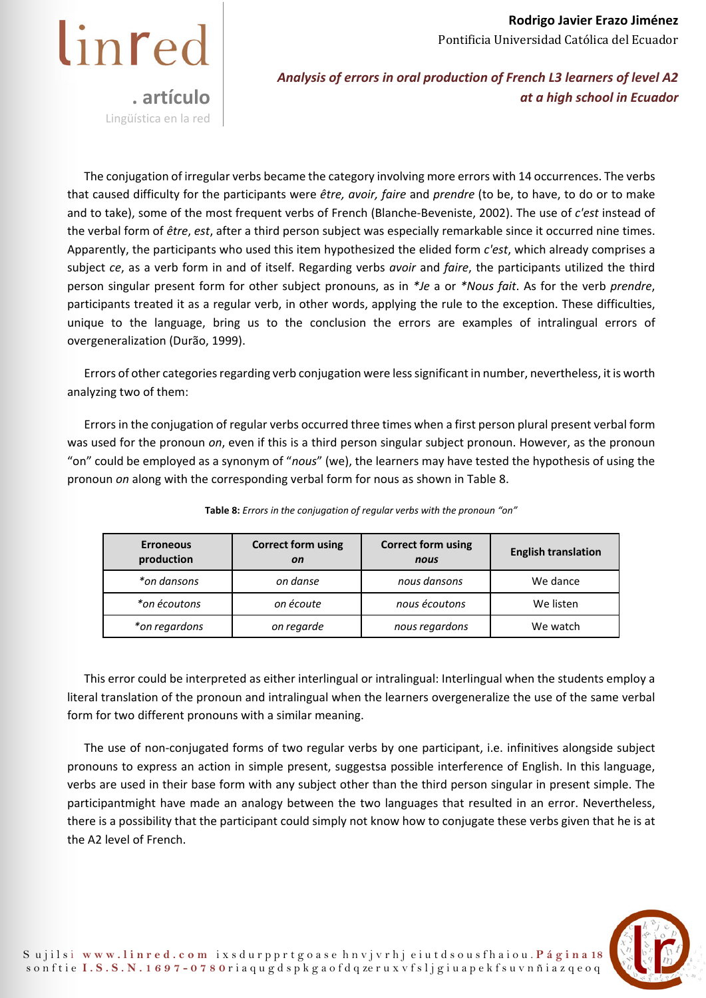

*Analysis of errors in oral production of French L3 learners of level A2 at a high school in Ecuador* 

The conjugation of irregular verbs became the category involving more errors with 14 occurrences. The verbs that caused difficulty for the participants were *être, avoir, faire* and *prendre* (to be, to have, to do or to make and to take), some of the most frequent verbs of French (Blanche-Beveniste, 2002). The use of *c'est* instead of the verbal form of *être*, *est*, after a third person subject was especially remarkable since it occurred nine times. Apparently, the participants who used this item hypothesized the elided form *c'est*, which already comprises a subject *ce*, as a verb form in and of itself. Regarding verbs *avoir* and *faire*, the participants utilized the third person singular present form for other subject pronouns, as in *\*Je* a or *\*Nous fait*. As for the verb *prendre*, participants treated it as a regular verb, in other words, applying the rule to the exception. These difficulties, unique to the language, bring us to the conclusion the errors are examples of intralingual errors of overgeneralization (Durão, 1999).

Errors of other categories regarding verb conjugation were less significant in number, nevertheless, it is worth analyzing two of them:

Errors in the conjugation of regular verbs occurred three times when a first person plural present verbal form was used for the pronoun *on*, even if this is a third person singular subject pronoun. However, as the pronoun "on" could be employed as a synonym of "*nous*" (we), the learners may have tested the hypothesis of using the pronoun *on* along with the corresponding verbal form for nous as shown in Table 8.

| <b>Erroneous</b><br>production | <b>Correct form using</b><br><b>on</b> | <b>Correct form using</b><br>nous | <b>English translation</b> |
|--------------------------------|----------------------------------------|-----------------------------------|----------------------------|
| *on dansons                    | on danse                               | nous dansons                      | We dance                   |
| *on écoutons                   | on écoute                              | nous écoutons                     | We listen                  |
| *on regardons                  | on regarde                             | nous regardons                    | We watch                   |

**Table 8:** *Errors in the conjugation of regular verbs with the pronoun "on"* 

This error could be interpreted as either interlingual or intralingual: Interlingual when the students employ a literal translation of the pronoun and intralingual when the learners overgeneralize the use of the same verbal form for two different pronouns with a similar meaning.

The use of non-conjugated forms of two regular verbs by one participant, i.e. infinitives alongside subject pronouns to express an action in simple present, suggestsa possible interference of English. In this language, verbs are used in their base form with any subject other than the third person singular in present simple. The participantmight have made an analogy between the two languages that resulted in an error. Nevertheless, there is a possibility that the participant could simply not know how to conjugate these verbs given that he is at the A2 level of French.

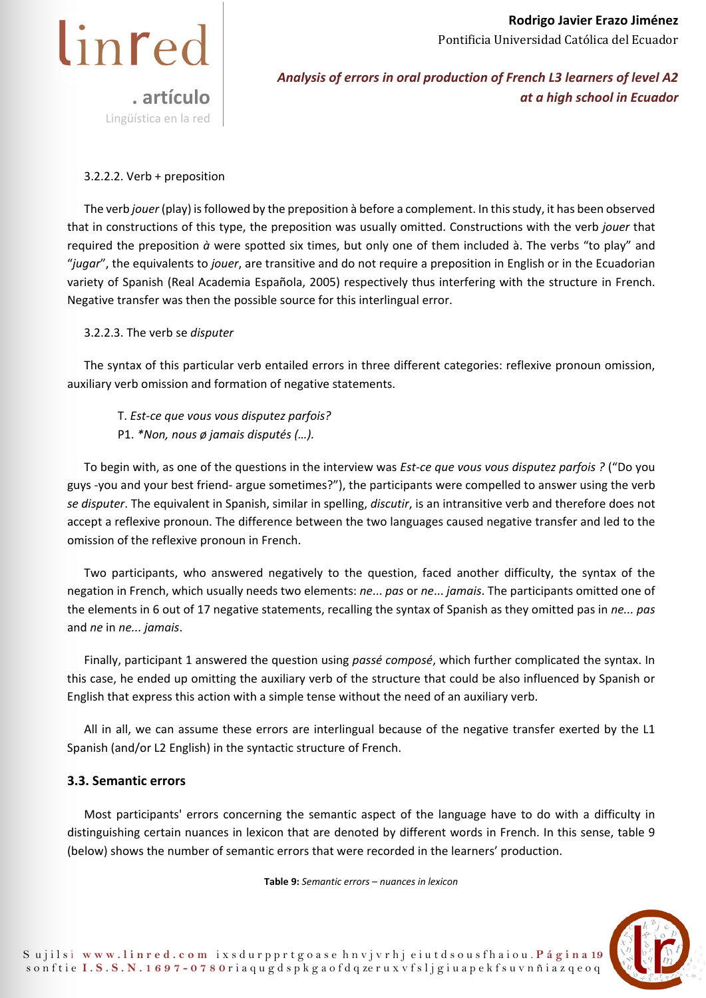

*Analysis of errors in oral production of French L3 learners of level A2 at a high school in Ecuador* 

### 3.2.2.2. Verb + preposition

The verb *jouer* (play) is followed by the preposition à before a complement. In this study, it has been observed that in constructions of this type, the preposition was usually omitted. Constructions with the verb *jouer* that required the preposition *à* were spotted six times, but only one of them included à. The verbs "to play" and "*jugar*", the equivalents to *jouer*, are transitive and do not require a preposition in English or in the Ecuadorian variety of Spanish (Real Academia Española, 2005) respectively thus interfering with the structure in French. Negative transfer was then the possible source for this interlingual error.

#### 3.2.2.3. The verb se *disputer*

The syntax of this particular verb entailed errors in three different categories: reflexive pronoun omission, auxiliary verb omission and formation of negative statements.

T. *Est-ce que vous vous disputez parfois?*  P1. *\*Non, nous ø jamais disputés (…).* 

To begin with, as one of the questions in the interview was *Est-ce que vous vous disputez parfois ?* ("Do you guys -you and your best friend- argue sometimes?"), the participants were compelled to answer using the verb *se disputer*. The equivalent in Spanish, similar in spelling, *discutir*, is an intransitive verb and therefore does not accept a reflexive pronoun. The difference between the two languages caused negative transfer and led to the omission of the reflexive pronoun in French.

Two participants, who answered negatively to the question, faced another difficulty, the syntax of the negation in French, which usually needs two elements: *ne*... *pas* or *ne*... *jamais*. The participants omitted one of the elements in 6 out of 17 negative statements, recalling the syntax of Spanish as they omitted pas in *ne... pas* and *ne* in *ne... jamais*.

Finally, participant 1 answered the question using *passé composé*, which further complicated the syntax. In this case, he ended up omitting the auxiliary verb of the structure that could be also influenced by Spanish or English that express this action with a simple tense without the need of an auxiliary verb.

All in all, we can assume these errors are interlingual because of the negative transfer exerted by the L1 Spanish (and/or L2 English) in the syntactic structure of French.

## **3.3. Semantic errors**

Most participants' errors concerning the semantic aspect of the language have to do with a difficulty in distinguishing certain nuances in lexicon that are denoted by different words in French. In this sense, table 9 (below) shows the number of semantic errors that were recorded in the learners' production.

**Table 9:** *Semantic errors – nuances in lexicon* 

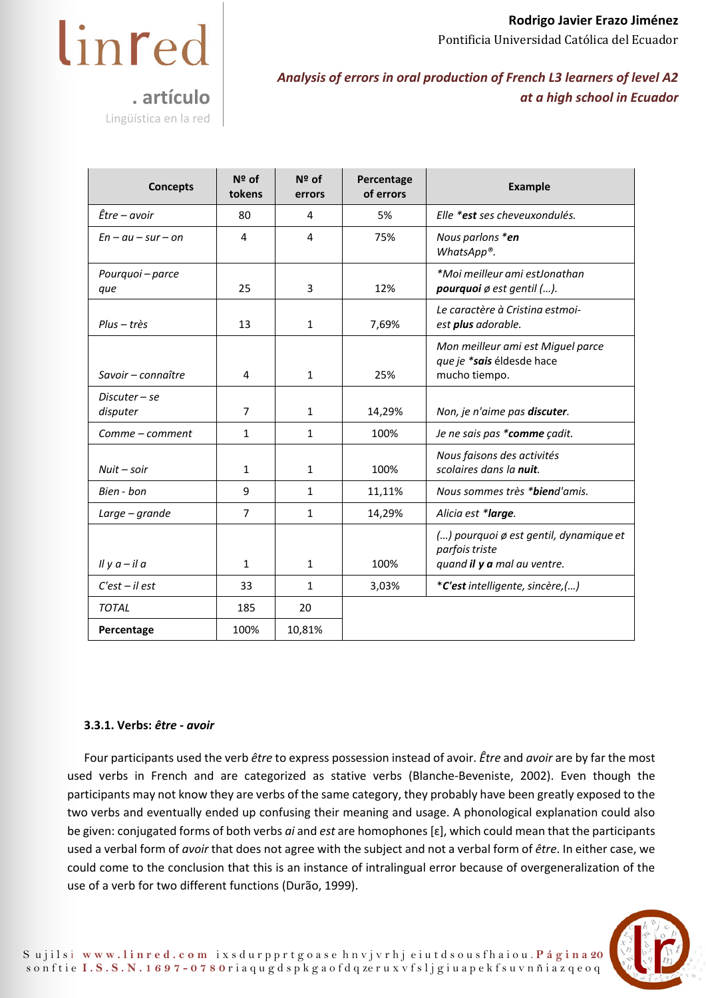

Lingüística en la red

# *Analysis of errors in oral production of French L3 learners of level A2 at a high school in Ecuador*

| <b>Concepts</b>           | $N2$ of<br>tokens | $N2$ of<br>errors | Percentage<br>of errors | <b>Example</b>                                                                          |
|---------------------------|-------------------|-------------------|-------------------------|-----------------------------------------------------------------------------------------|
| $\hat{E}$ tre – avoir     | 80                | 4                 | 5%                      | Elle *est ses cheveuxondulés.                                                           |
| $En - au - sur - on$      | 4                 | 4                 | 75%                     | Nous parlons *en<br>WhatsApp®.                                                          |
| Pourquoi - parce<br>que   | 25                | 3                 | 12%                     | *Moi meilleur ami estJonathan<br>pourquoi ø est gentil ().                              |
| Plus – très               | 13                | 1                 | 7,69%                   | Le caractère à Cristina estmoi-<br>est plus adorable.                                   |
| Savoir – connaître        | 4                 | $\mathbf{1}$      | 25%                     | Mon meilleur ami est Miguel parce<br>que je *sais éldesde hace<br>mucho tiempo.         |
| Discuter – se<br>disputer | $\overline{7}$    | $\mathbf{1}$      | 14,29%                  | Non, je n'aime pas discuter.                                                            |
| Comme - comment           | $\mathbf{1}$      | 1                 | 100%                    | Je ne sais pas *comme çadit.                                                            |
| $Nuit - soir$             | 1                 | $\mathbf{1}$      | 100%                    | Nous faisons des activités<br>scolaires dans la nuit.                                   |
| Bien - bon                | 9                 | 1                 | 11,11%                  | Nous sommes très * <b>bien</b> d'amis.                                                  |
| Large – grande            | $\overline{7}$    | 1                 | 14,29%                  | Alicia est * <b>large</b> .                                                             |
| Il y $a$ – il $a$         | 1                 | $\mathbf{1}$      | 100%                    | () pourquoi ø est gentil, dynamique et<br>parfois triste<br>quand il y a mal au ventre. |
| $C'est - il est$          | 33                | 1                 | 3,03%                   | *C'est intelligente, sincère,()                                                         |
| <b>TOTAL</b>              | 185               | 20                |                         |                                                                                         |
| Percentage                | 100%              | 10,81%            |                         |                                                                                         |

## **3.3.1. Verbs:** *être - avoir*

Four participants used the verb *être* to express possession instead of avoir. *Être* and *avoir* are by far the most used verbs in French and are categorized as stative verbs (Blanche-Beveniste, 2002). Even though the participants may not know they are verbs of the same category, they probably have been greatly exposed to the two verbs and eventually ended up confusing their meaning and usage. A phonological explanation could also be given: conjugated forms of both verbs *ai* and *est* are homophones [ɛ], which could mean that the participants used a verbal form of *avoir* that does not agree with the subject and not a verbal form of *être*. In either case, we could come to the conclusion that this is an instance of intralingual error because of overgeneralization of the use of a verb for two different functions (Durão, 1999).

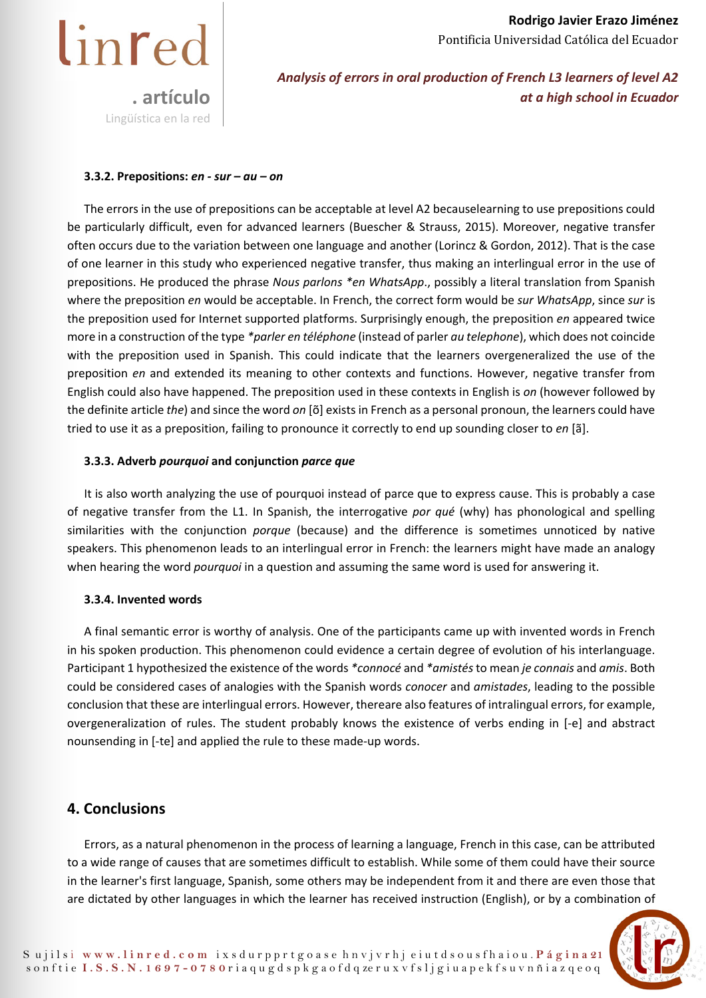

*Analysis of errors in oral production of French L3 learners of level A2 at a high school in Ecuador* 

#### **3.3.2. Prepositions:** *en - sur – au – on*

The errors in the use of prepositions can be acceptable at level A2 becauselearning to use prepositions could be particularly difficult, even for advanced learners (Buescher & Strauss, 2015). Moreover, negative transfer often occurs due to the variation between one language and another (Lorincz & Gordon, 2012). That is the case of one learner in this study who experienced negative transfer, thus making an interlingual error in the use of prepositions. He produced the phrase *Nous parlons \*en WhatsApp*., possibly a literal translation from Spanish where the preposition *en* would be acceptable. In French, the correct form would be *sur WhatsApp*, since *sur* is the preposition used for Internet supported platforms. Surprisingly enough, the preposition *en* appeared twice more in a construction of the type *\*parler en téléphone* (instead of parler *au telephone*), which does not coincide with the preposition used in Spanish. This could indicate that the learners overgeneralized the use of the preposition *en* and extended its meaning to other contexts and functions. However, negative transfer from English could also have happened. The preposition used in these contexts in English is *on* (however followed by the definite article *the*) and since the word *on* [õ] exists in French as a personal pronoun, the learners could have tried to use it as a preposition, failing to pronounce it correctly to end up sounding closer to *en* [ã].

#### **3.3.3. Adverb** *pourquoi* **and conjunction** *parce que*

It is also worth analyzing the use of pourquoi instead of parce que to express cause. This is probably a case of negative transfer from the L1. In Spanish, the interrogative *por qué* (why) has phonological and spelling similarities with the conjunction *porque* (because) and the difference is sometimes unnoticed by native speakers. This phenomenon leads to an interlingual error in French: the learners might have made an analogy when hearing the word *pourquoi* in a question and assuming the same word is used for answering it.

#### **3.3.4. Invented words**

A final semantic error is worthy of analysis. One of the participants came up with invented words in French in his spoken production. This phenomenon could evidence a certain degree of evolution of his interlanguage. Participant 1 hypothesized the existence of the words *\*connocé* and *\*amistés* to mean *je connais* and *amis*. Both could be considered cases of analogies with the Spanish words *conocer* and *amistades*, leading to the possible conclusion that these are interlingual errors. However, thereare also features of intralingual errors, for example, overgeneralization of rules. The student probably knows the existence of verbs ending in [-e] and abstract nounsending in [-te] and applied the rule to these made-up words.

## **4. Conclusions**

Errors, as a natural phenomenon in the process of learning a language, French in this case, can be attributed to a wide range of causes that are sometimes difficult to establish. While some of them could have their source in the learner's first language, Spanish, some others may be independent from it and there are even those that are dictated by other languages in which the learner has received instruction (English), or by a combination of

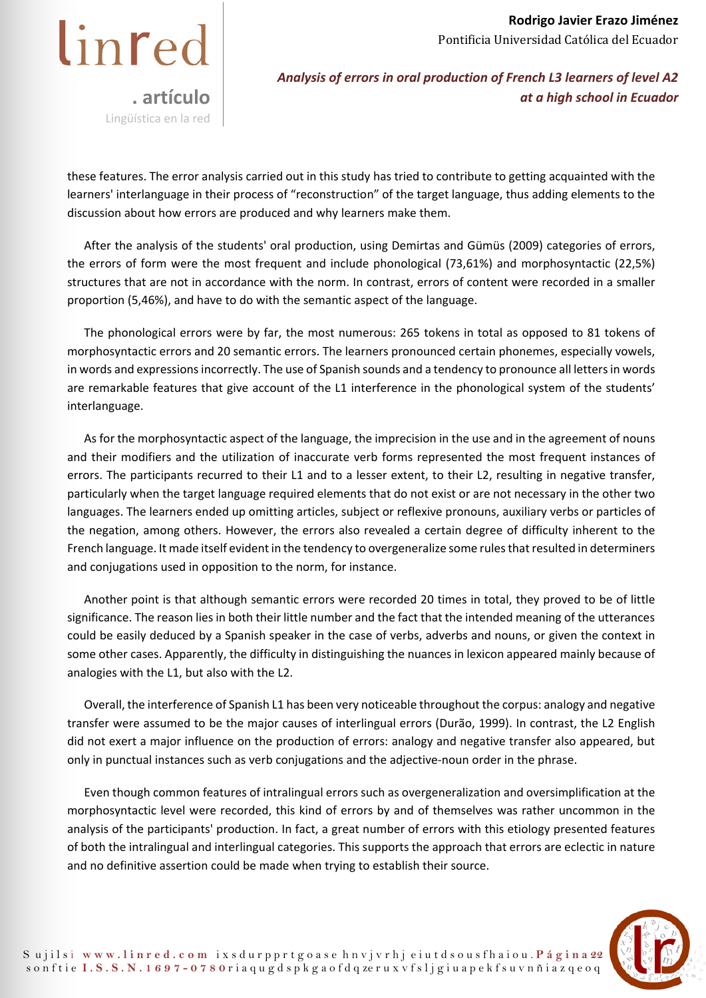

*Analysis of errors in oral production of French L3 learners of level A2 at a high school in Ecuador* 

these features. The error analysis carried out in this study has tried to contribute to getting acquainted with the learners' interlanguage in their process of "reconstruction" of the target language, thus adding elements to the discussion about how errors are produced and why learners make them.

After the analysis of the students' oral production, using Demirtas and Gümüs (2009) categories of errors, the errors of form were the most frequent and include phonological (73,61%) and morphosyntactic (22,5%) structures that are not in accordance with the norm. In contrast, errors of content were recorded in a smaller proportion (5,46%), and have to do with the semantic aspect of the language.

The phonological errors were by far, the most numerous: 265 tokens in total as opposed to 81 tokens of morphosyntactic errors and 20 semantic errors. The learners pronounced certain phonemes, especially vowels, in words and expressions incorrectly. The use of Spanish sounds and a tendency to pronounce all letters in words are remarkable features that give account of the L1 interference in the phonological system of the students' interlanguage.

As for the morphosyntactic aspect of the language, the imprecision in the use and in the agreement of nouns and their modifiers and the utilization of inaccurate verb forms represented the most frequent instances of errors. The participants recurred to their L1 and to a lesser extent, to their L2, resulting in negative transfer, particularly when the target language required elements that do not exist or are not necessary in the other two languages. The learners ended up omitting articles, subject or reflexive pronouns, auxiliary verbs or particles of the negation, among others. However, the errors also revealed a certain degree of difficulty inherent to the French language. It made itself evident in the tendency to overgeneralize some rules that resulted in determiners and conjugations used in opposition to the norm, for instance.

Another point is that although semantic errors were recorded 20 times in total, they proved to be of little significance. The reason lies in both their little number and the fact that the intended meaning of the utterances could be easily deduced by a Spanish speaker in the case of verbs, adverbs and nouns, or given the context in some other cases. Apparently, the difficulty in distinguishing the nuances in lexicon appeared mainly because of analogies with the L1, but also with the L2.

Overall, the interference of Spanish L1 has been very noticeable throughout the corpus: analogy and negative transfer were assumed to be the major causes of interlingual errors (Durão, 1999). In contrast, the L2 English did not exert a major influence on the production of errors: analogy and negative transfer also appeared, but only in punctual instances such as verb conjugations and the adjective-noun order in the phrase.

Even though common features of intralingual errors such as overgeneralization and oversimplification at the morphosyntactic level were recorded, this kind of errors by and of themselves was rather uncommon in the analysis of the participants' production. In fact, a great number of errors with this etiology presented features of both the intralingual and interlingual categories. This supports the approach that errors are eclectic in nature and no definitive assertion could be made when trying to establish their source.

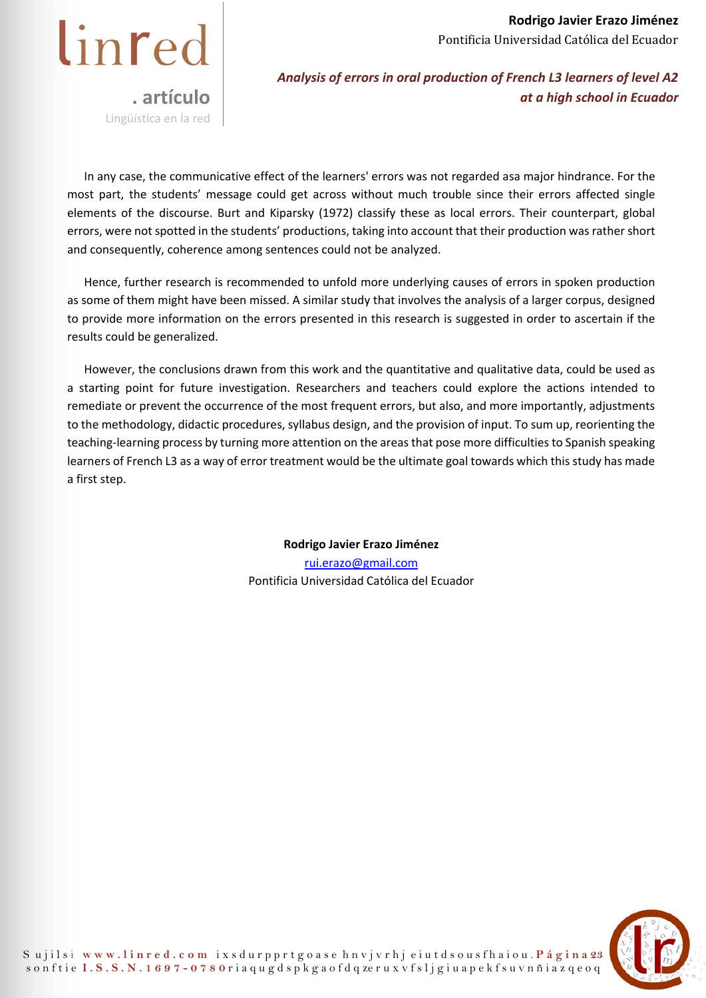

*Analysis of errors in oral production of French L3 learners of level A2 at a high school in Ecuador* 

In any case, the communicative effect of the learners' errors was not regarded asa major hindrance. For the most part, the students' message could get across without much trouble since their errors affected single elements of the discourse. Burt and Kiparsky (1972) classify these as local errors. Their counterpart, global errors, were not spotted in the students' productions, taking into account that their production was rather short and consequently, coherence among sentences could not be analyzed.

Hence, further research is recommended to unfold more underlying causes of errors in spoken production as some of them might have been missed. A similar study that involves the analysis of a larger corpus, designed to provide more information on the errors presented in this research is suggested in order to ascertain if the results could be generalized.

However, the conclusions drawn from this work and the quantitative and qualitative data, could be used as a starting point for future investigation. Researchers and teachers could explore the actions intended to remediate or prevent the occurrence of the most frequent errors, but also, and more importantly, adjustments to the methodology, didactic procedures, syllabus design, and the provision of input. To sum up, reorienting the teaching-learning process by turning more attention on the areas that pose more difficulties to Spanish speaking learners of French L3 as a way of error treatment would be the ultimate goal towards which this study has made a first step.

> **Rodrigo Javier Erazo Jiménez**  rui.erazo@gmail.com Pontificia Universidad Católica del Ecuador

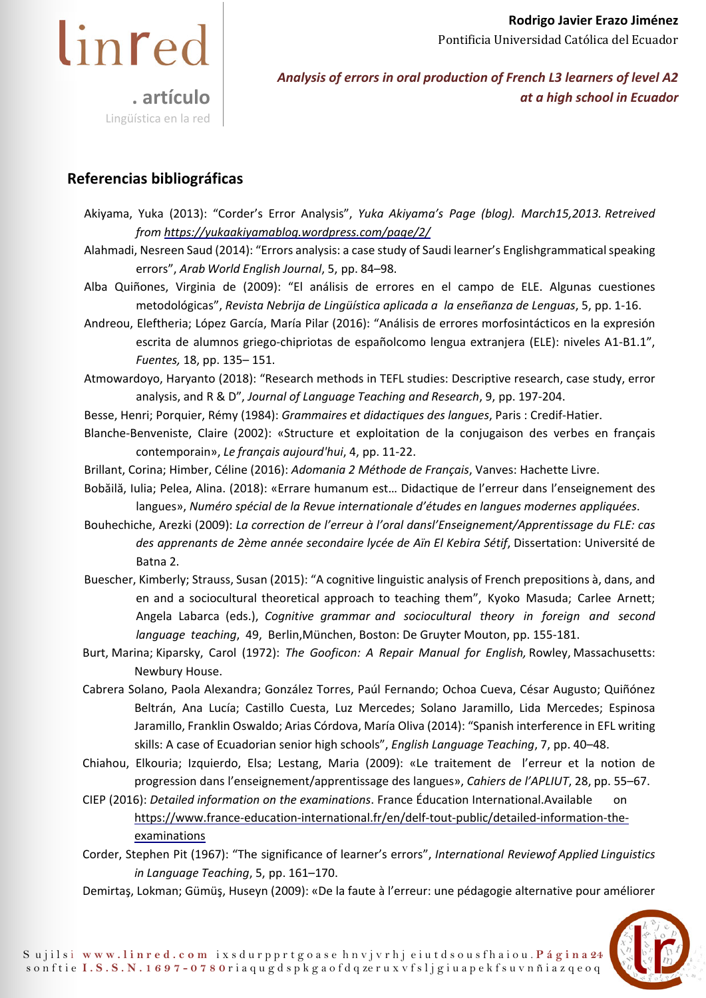

## **Referencias bibliográficas**

- Akiyama, Yuka (2013): "Corder's Error Analysis", *Yuka Akiyama's Page (blog). March15, 2013. Retreived from https://yukaakiyamablog.wordpress.com/page/2/*
- Alahmadi, Nesreen Saud (2014): "Errors analysis: a case study of Saudi learner's Englishgrammatical speaking errors", *Arab World English Journal*, 5, pp. 84–98.
- Alba Quiñones, Virginia de (2009): "El análisis de errores en el campo de ELE. Algunas cuestiones metodológicas", *Revista Nebrija de Lingüística aplicada a la enseñanza de Lenguas*, 5, pp. 1-16.
- Andreou, Eleftheria; López García, María Pilar (2016): "Análisis de errores morfosintácticos en la expresión escrita de alumnos griego-chipriotas de españolcomo lengua extranjera (ELE): niveles A1-B1.1", *Fuentes,* 18, pp. 135– 151.
- Atmowardoyo, Haryanto (2018): "Research methods in TEFL studies: Descriptive research, case study, error analysis, and R & D", *Journal of Language Teaching and Research*, 9, pp. 197-204.
- Besse, Henri; Porquier, Rémy (1984): *Grammaires et didactiques des langues*, Paris : Credif-Hatier.
- Blanche-Benveniste, Claire (2002): «Structure et exploitation de la conjugaison des verbes en français contemporain», *Le français aujourd'hui*, 4, pp. 11-22.
- Brillant, Corina; Himber, Céline (2016): *Adomania 2 Méthode de Français*, Vanves: Hachette Livre.
- Bobăilă, Iulia; Pelea, Alina. (2018): «Errare humanum est… Didactique de l'erreur dans l'enseignement des langues», *Numéro spécial de la Revue internationale d'études en langues modernes appliquées*.
- Bouhechiche, Arezki (2009): *La correction de l'erreur à l'oral dans l'Enseignement/Apprentissage du FLE: cas des apprenants de 2ème année secondaire lycée de Aïn El Kebira Sétif*, Dissertation: Université de Batna 2.
- Buescher, Kimberly; Strauss, Susan (2015): "A cognitive linguistic analysis of French prepositions à, dans, and en and a sociocultural theoretical approach to teaching them", Kyoko Masuda; Carlee Arnett; Angela Labarca (eds.), *Cognitive grammar and sociocultural theory in foreign and second language teaching*, 49, Berlin, München, Boston: De Gruyter Mouton, pp. 155-181.
- Burt, Marina; Kiparsky, Carol (1972): *The Gooficon: A Repair Manual for English,* Rowley, Massachusetts: Newbury House.
- Cabrera Solano, Paola Alexandra; González Torres, Paúl Fernando; Ochoa Cueva, César Augusto; Quiñónez Beltrán, Ana Lucía; Castillo Cuesta, Luz Mercedes; Solano Jaramillo, Lida Mercedes; Espinosa Jaramillo, Franklin Oswaldo; Arias Córdova, María Oliva (2014): "Spanish interference in EFL writing skills: A case of Ecuadorian senior high schools", *English Language Teaching*, 7, pp. 40–48.
- Chiahou, Elkouria; Izquierdo, Elsa; Lestang, Maria (2009): «Le traitement de l'erreur et la notion de progression dans l'enseignement/apprentissage des langues», *Cahiers de l'APLIUT*, 28, pp. 55–67.
- CIEP (2016): *Detailed information on the examinations*. France Éducation International. Available on https://www.france-education-international.fr/en/delf-tout-public/detailed-information-theexaminations
- Corder, Stephen Pit (1967): "The significance of learner's errors", *International Review of Applied Linguistics in Language Teaching*, 5, pp. 161–170.
- Demirtaş, Lokman; Gümüş, Huseyn (2009): «De la faute à l'erreur: une pédagogie alternative pour améliorer

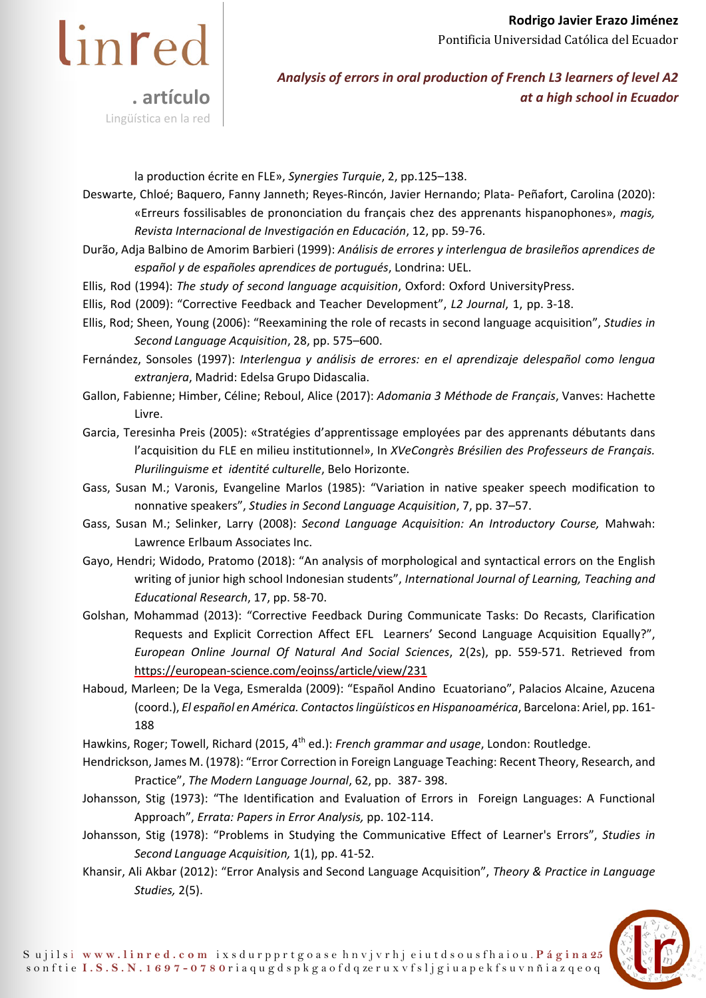

la production écrite en FLE», *Synergies Turquie*, 2, pp. 125–138.

Deswarte, Chloé; Baquero, Fanny Janneth; Reyes-Rincón, Javier Hernando; Plata- Peñafort, Carolina (2020): «Erreurs fossilisables de prononciation du français chez des apprenants hispanophones», *magis, Revista Internacional de Investigación en Educación*, 12, pp. 59-76.

- Durão, Adja Balbino de Amorim Barbieri (1999): *Análisis de errores y interlengua de brasileños aprendices de español y de españoles aprendices de portugués*, Londrina: UEL.
- Ellis, Rod (1994): *The study of second language acquisition*, Oxford: Oxford University Press.
- Ellis, Rod (2009): "Corrective Feedback and Teacher Development", *L2 Journal*, 1, pp. 3-18.
- Ellis, Rod; Sheen, Young (2006): "Reexamining the role of recasts in second language acquisition", *Studies in Second Language Acquisition*, 28, pp. 575–600.

Fernández, Sonsoles (1997): *Interlengua y análisis de errores: en el aprendizaje delespañol como lengua extranjera*, Madrid: Edelsa Grupo Didascalia.

Gallon, Fabienne; Himber, Céline; Reboul, Alice (2017): *Adomania 3 Méthode de Français*, Vanves: Hachette Livre.

Garcia, Teresinha Preis (2005): «Stratégies d'apprentissage employées par des apprenants débutants dans l'acquisition du FLE en milieu institutionnel», In *XVe Congrès Brésilien des Professeurs de Français. Plurilinguisme et identité culturelle*, Belo Horizonte.

Gass, Susan M.; Varonis, Evangeline Marlos (1985): "Variation in native speaker speech modification to nonnative speakers", *Studies in Second Language Acquisition*, 7, pp. 37–57.

- Gass, Susan M.; Selinker, Larry (2008): *Second Language Acquisition: An Introductory Course,* Mahwah: Lawrence Erlbaum Associates Inc.
- Gayo, Hendri; Widodo, Pratomo (2018): "An analysis of morphological and syntactical errors on the English writing of junior high school Indonesian students", *International Journal of Learning, Teaching and Educational Research*, 17, pp. 58- 70.
- Golshan, Mohammad (2013): "Corrective Feedback During Communicate Tasks: Do Recasts, Clarification Requests and Explicit Correction Affect EFL Learners' Second Language Acquisition Equally?", *European Online Journal Of Natural And Social Sciences*, 2(2s), pp. 559-571. Retrieved from https://european-science.com/eojnss/article/view/231
- Haboud, Marleen; De la Vega, Esmeralda (2009): "Español Andino Ecuatoriano", Palacios Alcaine, Azucena (coord.), *El español en América. Contactos lingüísticos en Hispanoamérica*, Barcelona: Ariel, pp. 161- 188

Hawkins, Roger; Towell, Richard (2015, 4<sup>th</sup> ed.): *French grammar and usage*, London: Routledge.

- Hendrickson, James M. (1978): "Error Correction in Foreign Language Teaching: Recent Theory, Research, and Practice", *The Modern Language Journal*, 62, pp. 387- 398.
- Johansson, Stig (1973): "The Identification and Evaluation of Errors in Foreign Languages: A Functional Approach", *Errata: Papers in Error Analysis,* pp. 102-114.
- Johansson, Stig (1978): "Problems in Studying the Communicative Effect of Learner's Errors", *Studies in Second Language Acquisition,* 1(1), pp. 41-52.
- Khansir, Ali Akbar (2012): "Error Analysis and Second Language Acquisition", *Theory & Practice in Language Studies,* 2(5).